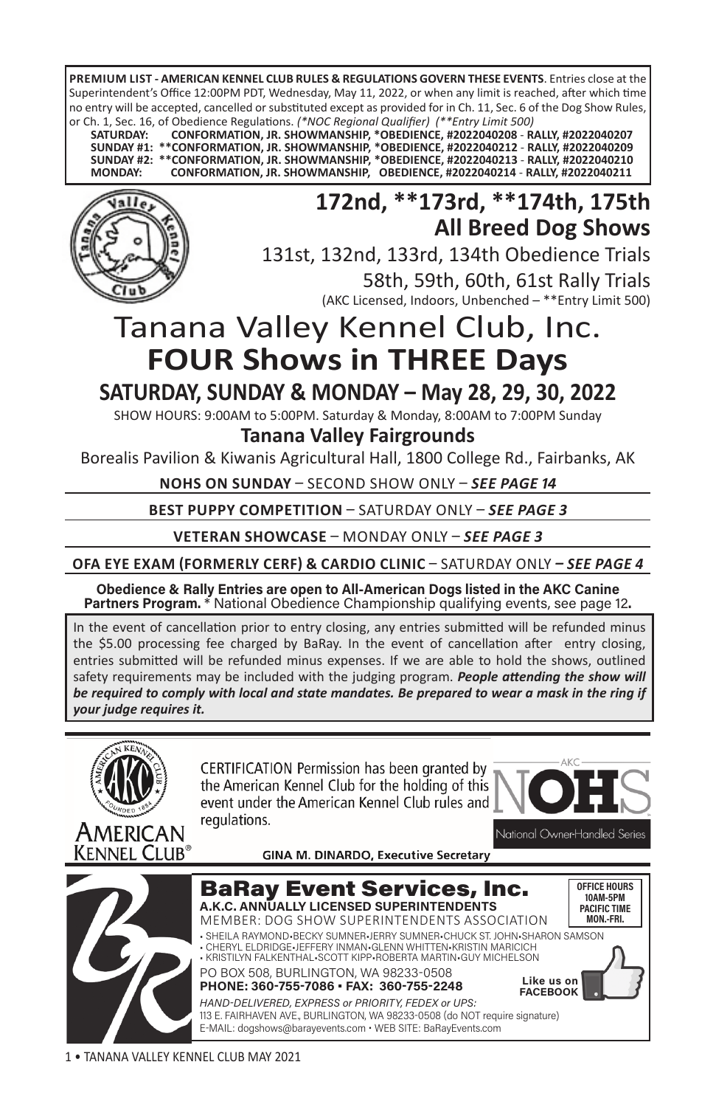**PREMIUM LIST - AMERICAN KENNEL CLUB RULES & REGULATIONS GOVERN THESE EVENTS**. Entries close at the Superintendent's Office 12:00PM PDT, Wednesday, May 11, 2022, or when any limit is reached, after which time no entry will be accepted, cancelled or substituted except as provided for in Ch. 11, Sec. 6 of the Dog Show Rules, or Ch. 1, Sec. 16, of Obedience Regulations. *(\*NOC Regional Qualifier) (\*\*Entry Limit 500)* **SATURDAY: CONFORMATION, JR. SHOWMANSHIP, \*OBEDIENCE, #2022040208** - **RALLY, #2022040207**

SUNDAY #1: \*\*CONFORMATION, JR. SHOWMANSHIP, \*OBEDIENCE, #2022040212 - RALLY, #2022040209<br>SUNDAY #2: \*\*CONFORMATION, JR. SHOWMANSHIP, \*OBEDIENCE, #2022040213 - RALLY, #2022040210<br>MONDAY: CONFORMATION, JR. SHOWMANSHI



**172nd, \*\*173rd, \*\*174th, 175th All Breed Dog Shows** 131st, 132nd, 133rd, 134th Obedience Trials

58th, 59th, 60th, 61st Rally Trials (AKC Licensed, Indoors, Unbenched – \*\*Entry Limit 500)

# Tanana Valley Kennel Club, Inc. **FOUR Shows in THREE Days**

**SATURDAY, SUNDAY & MONDAY – May 28, 29, 30, 2022** 

SHOW HOURS: 9:00AM to 5:00PM. Saturday & Monday, 8:00AM to 7:00PM Sunday

# **Tanana Valley Fairgrounds**

Borealis Pavilion & Kiwanis Agricultural Hall, 1800 College Rd., Fairbanks, AK

**NOHS ON SUNDAY** – SECOND SHOW ONLY – *SEE PAGE 14*

**BEST PUPPY COMPETITION** – SATURDAY ONLY – *SEE PAGE 3*

**VETERAN SHOWCASE** – MONDAY ONLY – *SEE PAGE 3* 

**OFA EYE EXAM (FORMERLY CERF) & CARDIO CLINIC** – SATURDAY ONLY *– SEE PAGE 4*

**Obedience & Rally Entries are open to All-American Dogs listed in the AKC Canine**  Partners Program.<sup>\*</sup> National Obedience Championship qualifying events, see page 12.

In the event of cancellation prior to entry closing, any entries submitted will be refunded minus the \$5.00 processing fee charged by BaRay. In the event of cancellation after entry closing, entries submitted will be refunded minus expenses. If we are able to hold the shows, outlined safety requirements may be included with the judging program. *People attending the show will*  be required to comply with local and state mandates. Be prepared to wear a mask in the ring if *your judge requires it.*



CERTIFICATION Permission has been granted by the American Kennel Club for the holding of this event under the American Kennel Club rules and regulations.



National Owner-Handled Series

GINA M. DINARDO, Executive Secretary



**Like us on FACEBOOK OFFICE HOURS 10AM-5PM PACIFIC TIME MON.-FRI.** BaRay Event Services, Inc. **A.K.C. ANNUALLY LICENSED SUPERINTENDENTS** MEMBER: DOG SHOW SUPERINTENDENTS ASSOCIATION • SHEILA RAYMOND•BECKY SUMNER•JERRY SUMNER•CHUCK ST. JOHN•SHARON SAMSON • CHERYL ELDRIDGE•JEFFERY INMAN•GLENN WHITTEN•KRISTIN MARICICH • KRISTILYN FALKENTHAL•SCOTT KIPP•ROBERTA MARTIN•GUY MICHELSON PO BOX 508, BURLINGTON, WA 98233-0508 **PHONE: 360-755-7086 • FAX: 360-755-2248** *HAND-DELIVERED, EXPRESS or PRIORITY, FEDEX or UPS:* 113 E. FAIRHAVEN AVE., BURLINGTON, WA 98233-0508 (do NOT require signature) E-MAIL: dogshows@barayevents.com • WEB SITE: BaRayEvents.com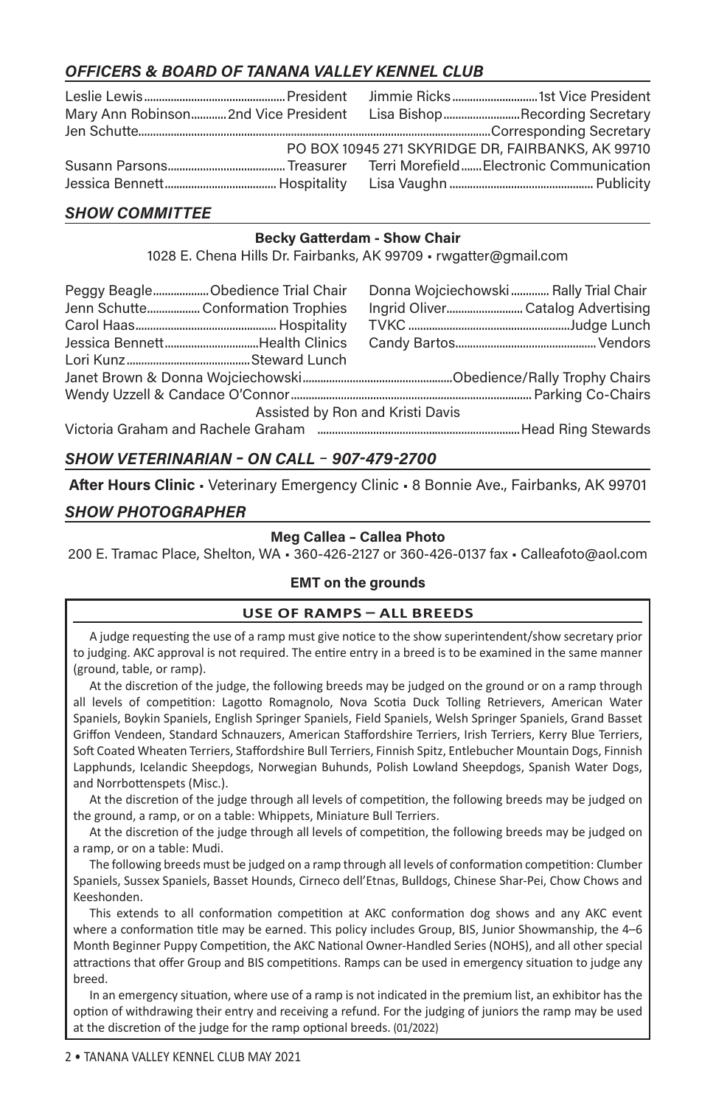# *OFFICERS & BOARD OF TANANA VALLEY KENNEL CLUB*

| Mary Ann Robinson 2nd Vice President Lisa Bishop Recording Secretary |                                                   |  |
|----------------------------------------------------------------------|---------------------------------------------------|--|
|                                                                      |                                                   |  |
|                                                                      | PO BOX 10945 271 SKYRIDGE DR, FAIRBANKS, AK 99710 |  |
|                                                                      |                                                   |  |
|                                                                      |                                                   |  |

### *SHOW COMMITTEE*

### **Becky Gatterdam - Show Chair**

1028 E. Chena Hills Dr. Fairbanks, AK 99709 • rwgatter@gmail.com

| Peggy BeagleObedience Trial Chair  | Donna Wojciechowski  Rally Trial Chair |  |
|------------------------------------|----------------------------------------|--|
| Jenn Schutte Conformation Trophies |                                        |  |
|                                    |                                        |  |
|                                    |                                        |  |
|                                    |                                        |  |
|                                    |                                        |  |
|                                    |                                        |  |
| Assisted by Ron and Kristi Davis   |                                        |  |
|                                    |                                        |  |

# *SHOW VETERINARIAN – ON CALL* – *907-479-2700*

**After Hours Clinic** • Veterinary Emergency Clinic • 8 Bonnie Ave., Fairbanks, AK 99701 *SHOW PHOTOGRAPHER*

#### **Meg Callea – Callea Photo**

200 E. Tramac Place, Shelton, WA • 360-426-2127 or 360-426-0137 fax • Calleafoto@aol.com

### **EMT on the grounds**

#### **USE OF RAMPS – ALL BREEDS**

A judge requesting the use of a ramp must give notice to the show superintendent/show secretary prior to judging. AKC approval is not required. The entire entry in a breed is to be examined in the same manner (ground, table, or ramp).

At the discretion of the judge, the following breeds may be judged on the ground or on a ramp through all levels of competition: Lagotto Romagnolo, Nova Scotia Duck Tolling Retrievers, American Water Spaniels, Boykin Spaniels, English Springer Spaniels, Field Spaniels, Welsh Springer Spaniels, Grand Basset Griffon Vendeen, Standard Schnauzers, American Staffordshire Terriers, Irish Terriers, Kerry Blue Terriers, Soft Coated Wheaten Terriers, Staffordshire Bull Terriers, Finnish Spitz, Entlebucher Mountain Dogs, Finnish Lapphunds, Icelandic Sheepdogs, Norwegian Buhunds, Polish Lowland Sheepdogs, Spanish Water Dogs, and Norrbottenspets (Misc.).

At the discretion of the judge through all levels of competition, the following breeds may be judged on the ground, a ramp, or on a table: Whippets, Miniature Bull Terriers.

At the discretion of the judge through all levels of competition, the following breeds may be judged on a ramp, or on a table: Mudi.

The following breeds must be judged on a ramp through all levels of conformation competition: Clumber Spaniels, Sussex Spaniels, Basset Hounds, Cirneco dell'Etnas, Bulldogs, Chinese Shar-Pei, Chow Chows and Keeshonden.

This extends to all conformation competition at AKC conformation dog shows and any AKC event where a conformation title may be earned. This policy includes Group, BIS, Junior Showmanship, the 4–6 Month Beginner Puppy Competition, the AKC National Owner-Handled Series (NOHS), and all other special attractions that offer Group and BIS competitions. Ramps can be used in emergency situation to judge any breed.

In an emergency situation, where use of a ramp is not indicated in the premium list, an exhibitor has the option of withdrawing their entry and receiving a refund. For the judging of juniors the ramp may be used at the discretion of the judge for the ramp optional breeds. (01/2022)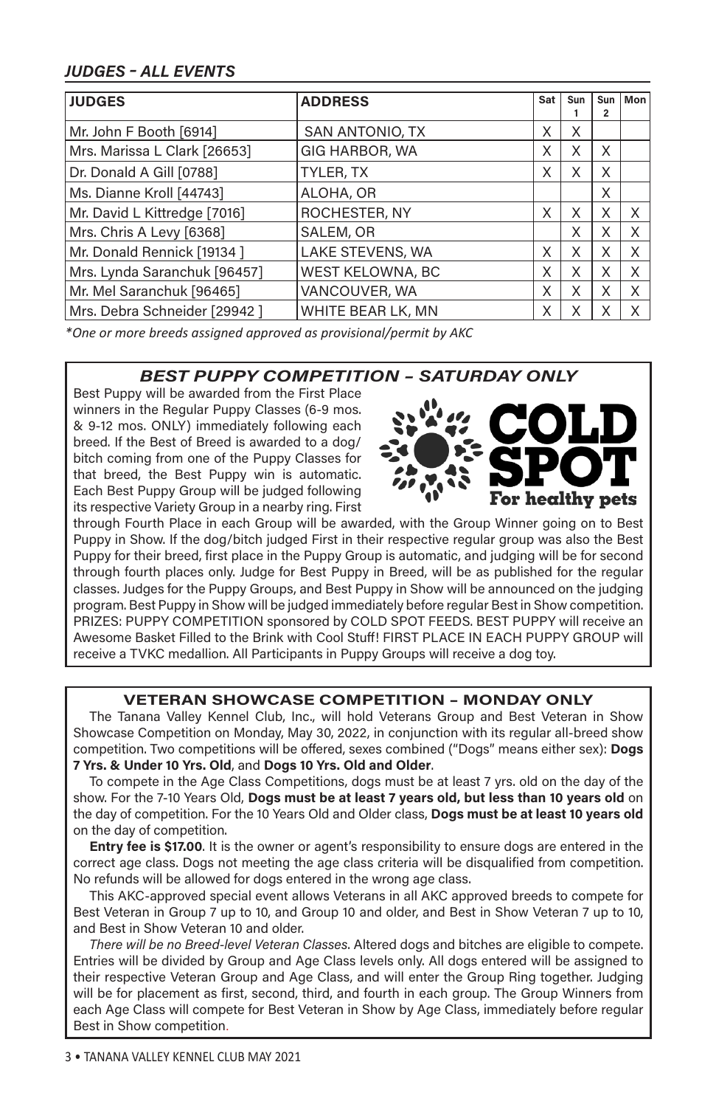# *JUDGES – ALL EVENTS*

| <b>JUDGES</b>                | <b>ADDRESS</b>          | Sat | <b>Sun</b> | Sun | Mon |
|------------------------------|-------------------------|-----|------------|-----|-----|
| Mr. John F Booth [6914]      | SAN ANTONIO, TX         | X   | X          |     |     |
| Mrs. Marissa L Clark [26653] | GIG HARBOR, WA          | X   | Χ          | X   |     |
| Dr. Donald A Gill [0788]     | TYLER, TX               | X   | X          | X   |     |
| Ms. Dianne Kroll [44743]     | ALOHA, OR               |     |            | X   |     |
| Mr. David L Kittredge [7016] | ROCHESTER, NY           | X   | X          | X   | X   |
| Mrs. Chris A Levy [6368]     | SALEM, OR               |     | Χ          | X   | X   |
| Mr. Donald Rennick [19134]   | LAKE STEVENS, WA        | X   | x          | X   | X   |
| Mrs. Lynda Saranchuk [96457] | <b>WEST KELOWNA, BC</b> | X   | X          | X   | X   |
| Mr. Mel Saranchuk [96465]    | VANCOUVER, WA           | X   | Χ          | X   | X   |
| Mrs. Debra Schneider [29942] | WHITE BEAR LK, MN       | Χ   |            |     |     |

*\*One or more breeds assigned approved as provisional/permit by AKC*

# *BEST PUPPY COMPETITION – SATURDAY ONLY*

Best Puppy will be awarded from the First Place winners in the Regular Puppy Classes (6-9 mos. & 9-12 mos. ONLY) immediately following each breed. If the Best of Breed is awarded to a dog/ bitch coming from one of the Puppy Classes for that breed, the Best Puppy win is automatic. Each Best Puppy Group will be judged following its respective Variety Group in a nearby ring. First



through Fourth Place in each Group will be awarded, with the Group Winner going on to Best Puppy in Show. If the dog/bitch judged First in their respective regular group was also the Best Puppy for their breed, first place in the Puppy Group is automatic, and judging will be for second through fourth places only. Judge for Best Puppy in Breed, will be as published for the regular classes. Judges for the Puppy Groups, and Best Puppy in Show will be announced on the judging program. Best Puppy in Show will be judged immediately before regular Best in Show competition. PRIZES: PUPPY COMPETITION sponsored by COLD SPOT FEEDS. BEST PUPPY will receive an Awesome Basket Filled to the Brink with Cool Stuff! FIRST PLACE IN EACH PUPPY GROUP will receive a TVKC medallion. All Participants in Puppy Groups will receive a dog toy.

# **VETERAN SHOWCASE COMPETITION – MONDAY ONLY**

The Tanana Valley Kennel Club, Inc., will hold Veterans Group and Best Veteran in Show Showcase Competition on Monday, May 30, 2022, in conjunction with its regular all-breed show competition. Two competitions will be offered, sexes combined ("Dogs" means either sex): **Dogs 7 Yrs. & Under 10 Yrs. Old**, and **Dogs 10 Yrs. Old and Older**.

To compete in the Age Class Competitions, dogs must be at least 7 yrs. old on the day of the show. For the 7-10 Years Old, **Dogs must be at least 7 years old, but less than 10 years old** on the day of competition. For the 10 Years Old and Older class, **Dogs must be at least 10 years old** on the day of competition.

**Entry fee is \$17.00**. It is the owner or agent's responsibility to ensure dogs are entered in the correct age class. Dogs not meeting the age class criteria will be disqualified from competition. No refunds will be allowed for dogs entered in the wrong age class.

This AKC-approved special event allows Veterans in all AKC approved breeds to compete for Best Veteran in Group 7 up to 10, and Group 10 and older, and Best in Show Veteran 7 up to 10, and Best in Show Veteran 10 and older.

*There will be no Breed-level Veteran Classes*. Altered dogs and bitches are eligible to compete. Entries will be divided by Group and Age Class levels only. All dogs entered will be assigned to their respective Veteran Group and Age Class, and will enter the Group Ring together. Judging will be for placement as first, second, third, and fourth in each group. The Group Winners from each Age Class will compete for Best Veteran in Show by Age Class, immediately before regular Best in Show competition.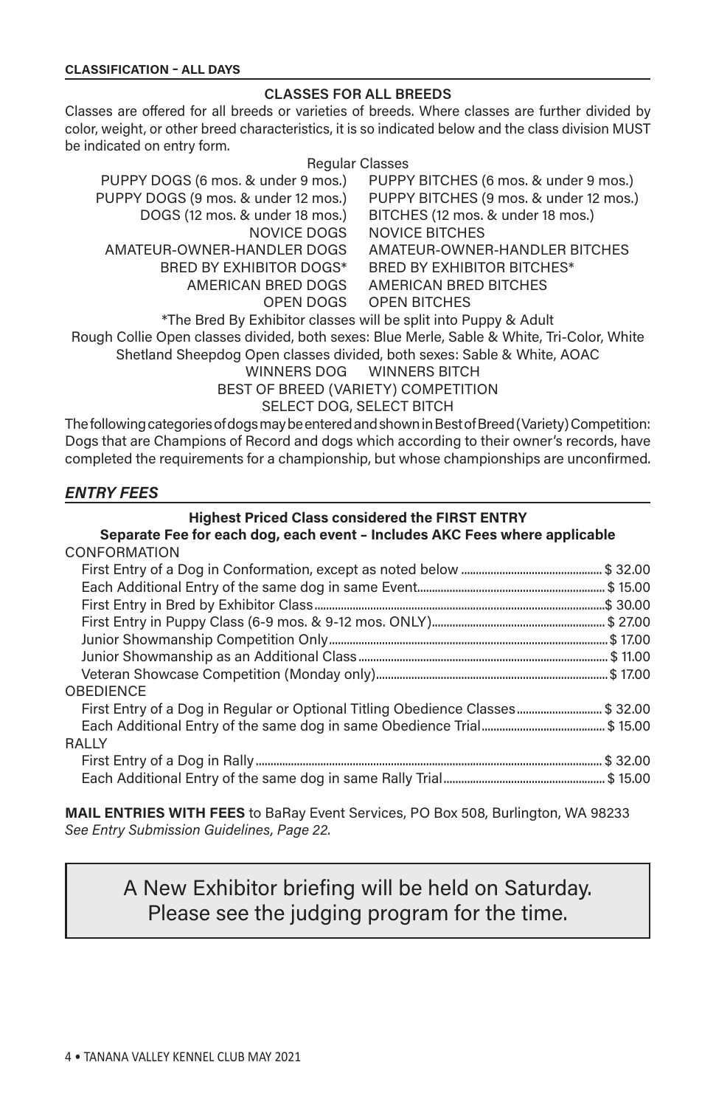### **CLASSES FOR ALL BREEDS**

Classes are offered for all breeds or varieties of breeds. Where classes are further divided by color, weight, or other breed characteristics, it is so indicated below and the class division MUST be indicated on entry form.

#### Regular Classes

| PUPPY DOGS (6 mos. & under 9 mos.)                                                                       | PUPPY BITCHES (6 mos. & under 9 mos.)  |
|----------------------------------------------------------------------------------------------------------|----------------------------------------|
| PUPPY DOGS (9 mos. & under 12 mos.)                                                                      | PUPPY BITCHES (9 mos. & under 12 mos.) |
| DOGS (12 mos. & under 18 mos.)                                                                           | BITCHES (12 mos. & under 18 mos.)      |
| NOVICE DOGS                                                                                              | <b>NOVICE BITCHES</b>                  |
| AMATEUR-OWNER-HANDLER DOGS                                                                               | AMATEUR-OWNER-HANDLER BITCHES          |
| BRED BY EXHIBITOR DOGS*                                                                                  | <b>BRED BY EXHIBITOR BITCHES*</b>      |
| AMERICAN BRED DOGS                                                                                       | AMERICAN BRED BITCHES                  |
| OPEN DOGS                                                                                                | <b>OPEN BITCHES</b>                    |
| *The Bred By Exhibitor classes will be split into Puppy & Adult                                          |                                        |
| Rough Collie Open classes divided, both sexes: Blue Merle, Sable & White, Tri-Color, White               |                                        |
| Shetland Sheepdog Open classes divided, both sexes: Sable & White, AOAC                                  |                                        |
|                                                                                                          | WINNERS DOG WINNERS BITCH              |
| BEST OF BREED (VARIETY) COMPETITION                                                                      |                                        |
| SELECT DOG, SELECT BITCH                                                                                 |                                        |
| The following estes suize of de se mouthe entered and ebourn in Dest of Dused () (exist. () Competition: |                                        |

The following categories of dogs may be entered and shown in Best of Breed (Variety) Competition: Dogs that are Champions of Record and dogs which according to their owner's records, have completed the requirements for a championship, but whose championships are unconfirmed.

### *ENTRY FEES*

#### **Highest Priced Class considered the FIRST ENTRY**

#### **Separate Fee for each dog, each event – Includes AKC Fees where applicable** CONFORMATION

| <b>OBEDIENCE</b>                                                               |  |
|--------------------------------------------------------------------------------|--|
| First Entry of a Dog in Regular or Optional Titling Obedience Classes \$ 32.00 |  |
|                                                                                |  |
| RALLY                                                                          |  |
|                                                                                |  |
|                                                                                |  |

**MAIL ENTRIES WITH FEES** to BaRay Event Services, PO Box 508, Burlington, WA 98233 *See Entry Submission Guidelines, Page 22.*

# A New Exhibitor briefing will be held on Saturday. Please see the judging program for the time.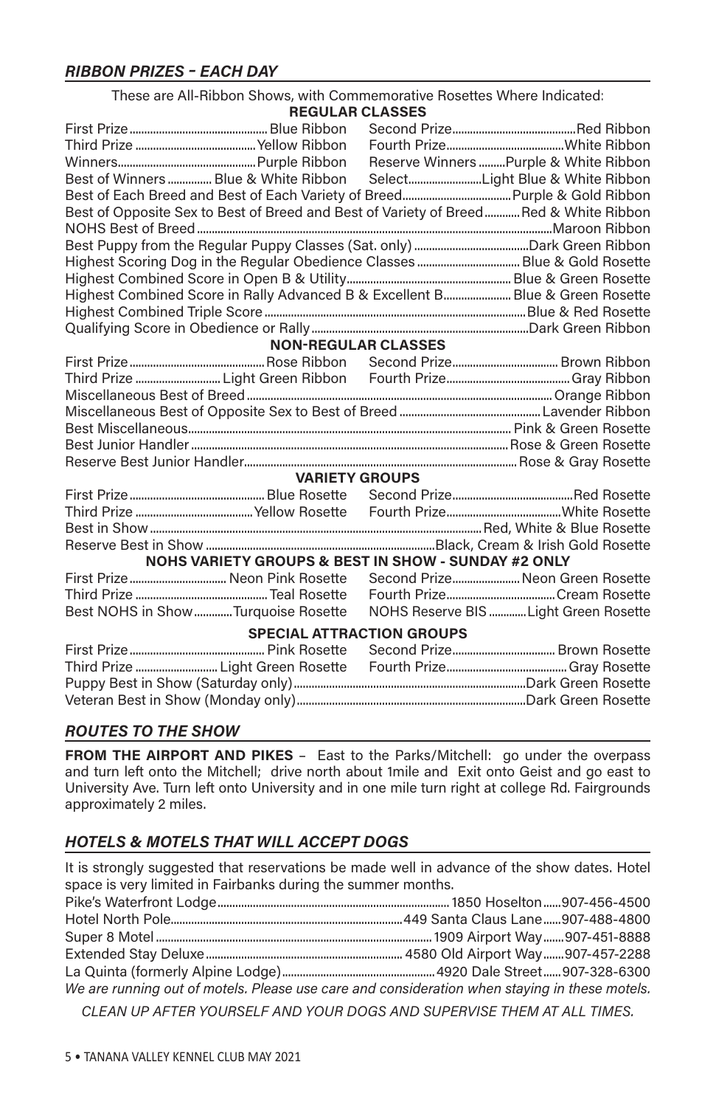# *RIBBON PRIZES – EACH DAY*

These are All-Ribbon Shows, with Commemorative Rosettes Where Indicated: **REGULAR CLASSES** First Prize...............................................Blue Ribbon Second Prize..........................................Red Ribbon Third Prize .........................................Yellow Ribbon Fourth Prize........................................White Ribbon Winners...............................................Purple Ribbon Reserve Winners .........Purple & White Ribbon Best of Winners ................ Blue & White Ribbon Select...............................Light Blue & White Ribbon Best of Each Breed and Best of Each Variety of Breed.....................................Purple & Gold Ribbon Best of Opposite Sex to Best of Breed and Best of Variety of Breed.............Red & White Ribbon NOHS Best of Breed.........................................................................................................................Maroon Ribbon Best Puppy from the Regular Puppy Classes (Sat. only).......................................Dark Green Ribbon Highest Scoring Dog in the Regular Obedience Classes ...................................Blue & Gold Rosette Highest Combined Score in Open B & Utility........................................................Blue & Green Rosette Highest Combined Score in Rally Advanced B & Excellent B.......................Blue & Green Rosette Highest Combined Triple Score .........................................................................................Blue & Red Rosette Qualifying Score in Obedience or Rally..........................................................................Dark Green Ribbon **NON-REGULAR CLASSES** First Prize..............................................Rose Ribbon Second Prize....................................Brown Ribbon Third Prize ............................. Light Green Ribbon Fourth Prize..........................................Gray Ribbon Miscellaneous Best of Breed........................................................................................................Orange Ribbon Miscellaneous Best of Opposite Sex to Best of Breed ................................................Lavender Ribbon Best Miscellaneous.............................................................................................................. Pink & Green Rosette Best Junior Handler............................................................................................................Rose & Green Rosette Reserve Best Junior Handler.............................................................................................Rose & Gray Rosette **VARIETY GROUPS** First Prize..............................................Blue Rosette Second Prize.........................................Red Rosette Third Prize ........................................Yellow Rosette Fourth Prize.......................................White Rosette Best in Show.................................................................................................................Red, White & Blue Rosette Reserve Best in Show ..............................................................................Black, Cream & Irish Gold Rosette **NOHS VARIETY GROUPS & BEST IN SHOW - SUNDAY #2 ONLY** First Prize................................. Neon Pink Rosette Second Prize.......................Neon Green Rosette Third Prize ............................................. Teal Rosette Fourth Prize.....................................Cream Rosette Best NOHS in Show.............Turquoise Rosette NOHS Reserve BIS .............Light Green Rosette **SPECIAL ATTRACTION GROUPS** First Prize.............................................. Pink Rosette Second Prize...................................Brown Rosette Third Prize ............................ Light Green Rosette Fourth Prize.........................................Gray Rosette Puppy Best in Show (Saturday only)...............................................................................Dark Green Rosette Veteran Best in Show (Monday only)..............................................................................Dark Green Rosette

# *ROUTES TO THE SHOW*

**FROM THE AIRPORT AND PIKES** – East to the Parks/Mitchell: go under the overpass and turn left onto the Mitchell; drive north about 1mile and Exit onto Geist and go east to University Ave. Turn left onto University and in one mile turn right at college Rd. Fairgrounds approximately 2 miles.

# *HOTELS & MOTELS THAT WILL ACCEPT DOGS*

It is strongly suggested that reservations be made well in advance of the show dates. Hotel space is very limited in Fairbanks during the summer months.

| We are running out of motels. Please use care and consideration when staying in these motels. |
|-----------------------------------------------------------------------------------------------|
| CLEAN UP AFTER YOURSELF AND YOUR DOGS AND SUPERVISE THEM AT ALL TIMES.                        |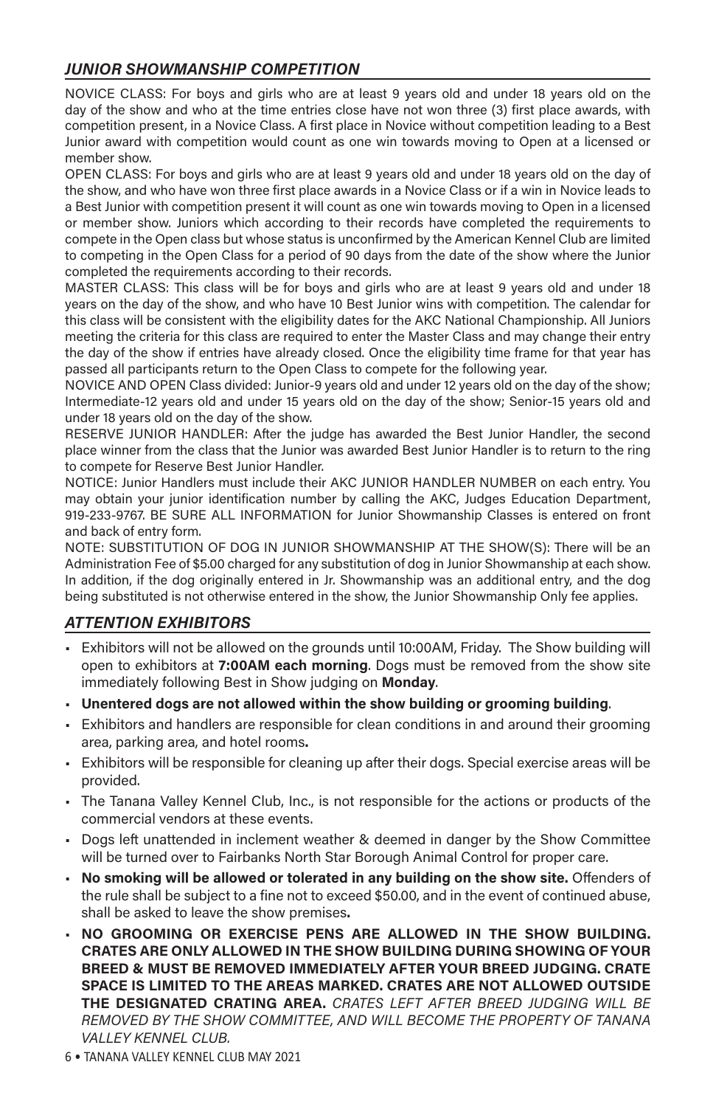# *JUNIOR SHOWMANSHIP COMPETITION*

NOVICE CLASS: For boys and girls who are at least 9 years old and under 18 years old on the day of the show and who at the time entries close have not won three (3) first place awards, with competition present, in a Novice Class. A first place in Novice without competition leading to a Best Junior award with competition would count as one win towards moving to Open at a licensed or member show.

OPEN CLASS: For boys and girls who are at least 9 years old and under 18 years old on the day of the show, and who have won three first place awards in a Novice Class or if a win in Novice leads to a Best Junior with competition present it will count as one win towards moving to Open in a licensed or member show. Juniors which according to their records have completed the requirements to compete in the Open class but whose status is unconfirmed by the American Kennel Club are limited to competing in the Open Class for a period of 90 days from the date of the show where the Junior completed the requirements according to their records.

MASTER CLASS: This class will be for boys and girls who are at least 9 years old and under 18 years on the day of the show, and who have 10 Best Junior wins with competition. The calendar for this class will be consistent with the eligibility dates for the AKC National Championship. All Juniors meeting the criteria for this class are required to enter the Master Class and may change their entry the day of the show if entries have already closed. Once the eligibility time frame for that year has passed all participants return to the Open Class to compete for the following year.

NOVICE AND OPEN Class divided: Junior-9 years old and under 12 years old on the day of the show; Intermediate-12 years old and under 15 years old on the day of the show; Senior-15 years old and under 18 years old on the day of the show.

RESERVE JUNIOR HANDLER: After the judge has awarded the Best Junior Handler, the second place winner from the class that the Junior was awarded Best Junior Handler is to return to the ring to compete for Reserve Best Junior Handler.

NOTICE: Junior Handlers must include their AKC JUNIOR HANDLER NUMBER on each entry. You may obtain your junior identification number by calling the AKC, Judges Education Department, 919-233-9767. BE SURE ALL INFORMATION for Junior Showmanship Classes is entered on front and back of entry form.

NOTE: SUBSTITUTION OF DOG IN JUNIOR SHOWMANSHIP AT THE SHOW(S): There will be an Administration Fee of \$5.00 charged for any substitution of dog in Junior Showmanship at each show. In addition, if the dog originally entered in Jr. Showmanship was an additional entry, and the dog being substituted is not otherwise entered in the show, the Junior Showmanship Only fee applies.

# *ATTENTION EXHIBITORS*

- Exhibitors will not be allowed on the grounds until 10:00AM, Friday. The Show building will open to exhibitors at **7:00AM each morning**. Dogs must be removed from the show site immediately following Best in Show judging on **Monday**.
- **Unentered dogs are not allowed within the show building or grooming building**.
- Exhibitors and handlers are responsible for clean conditions in and around their grooming area, parking area, and hotel rooms**.**
- Exhibitors will be responsible for cleaning up after their dogs. Special exercise areas will be provided.
- The Tanana Valley Kennel Club, Inc., is not responsible for the actions or products of the commercial vendors at these events.
- Dogs left unattended in inclement weather & deemed in danger by the Show Committee will be turned over to Fairbanks North Star Borough Animal Control for proper care.
- **No smoking will be allowed or tolerated in any building on the show site.** Offenders of the rule shall be subject to a fine not to exceed \$50.00, and in the event of continued abuse, shall be asked to leave the show premises**.**
- **NO GROOMING OR EXERCISE PENS ARE ALLOWED IN THE SHOW BUILDING. CRATES ARE ONLY ALLOWED IN THE SHOW BUILDING DURING SHOWING OF YOUR BREED & MUST BE REMOVED IMMEDIATELY AFTER YOUR BREED JUDGING. CRATE SPACE IS LIMITED TO THE AREAS MARKED. CRATES ARE NOT ALLOWED OUTSIDE THE DESIGNATED CRATING AREA.** *CRATES LEFT AFTER BREED JUDGING WILL BE REMOVED BY THE SHOW COMMITTEE, AND WILL BECOME THE PROPERTY OF TANANA VALLEY KENNEL CLUB.*
- 6 TANANA VALLEY KENNEL CLUB MAY 2021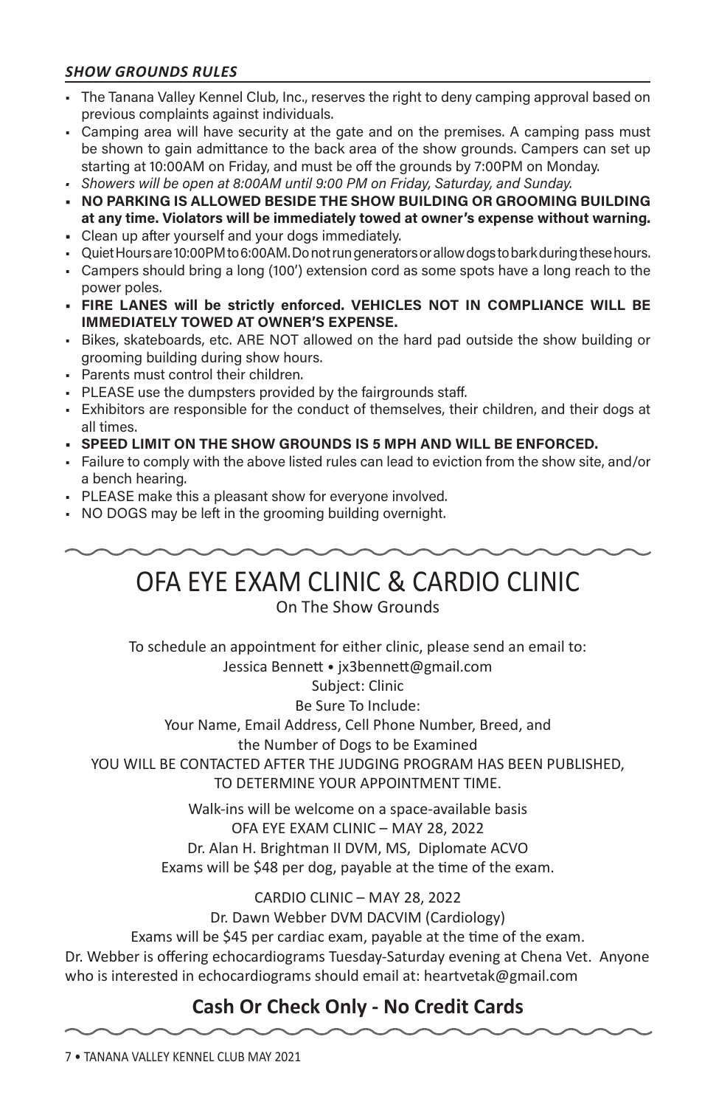# *SHOW GROUNDS RULES*

- The Tanana Valley Kennel Club, Inc., reserves the right to deny camping approval based on previous complaints against individuals.
- Camping area will have security at the gate and on the premises. A camping pass must be shown to gain admittance to the back area of the show grounds. Campers can set up starting at 10:00AM on Friday, and must be off the grounds by 7:00PM on Monday.
- *• Showers will be open at 8:00AM until 9:00 PM on Friday, Saturday, and Sunday.*
- **• NO PARKING IS ALLOWED BESIDE THE SHOW BUILDING OR GROOMING BUILDING at any time. Violators will be immediately towed at owner's expense without warning.**
- **•** Clean up after yourself and your dogs immediately.
- Quiet Hours are 10:00PM to 6:00AM. Do not run generators or allow dogs to bark during these hours.
- Campers should bring a long (100') extension cord as some spots have a long reach to the power poles.
- **• FIRE LANES will be strictly enforced. VEHICLES NOT IN COMPLIANCE WILL BE IMMEDIATELY TOWED AT OWNER'S EXPENSE.**
- Bikes, skateboards, etc. ARE NOT allowed on the hard pad outside the show building or grooming building during show hours.
- Parents must control their children.
- PLEASE use the dumpsters provided by the fairgrounds staff.
- Exhibitors are responsible for the conduct of themselves, their children, and their dogs at all times.
- **• SPEED LIMIT ON THE SHOW GROUNDS IS 5 MPH AND WILL BE ENFORCED.**
- Failure to comply with the above listed rules can lead to eviction from the show site, and/or a bench hearing.
- PLEASE make this a pleasant show for everyone involved.
- NO DOGS may be left in the grooming building overnight.

# OFA EYE EXAM CLINIC & CARDIO CLINIC On The Show Grounds

To schedule an appointment for either clinic, please send an email to: Jessica Bennett • jx3bennett@gmail.com Subject: Clinic Be Sure To Include: Your Name, Email Address, Cell Phone Number, Breed, and the Number of Dogs to be Examined

YOU WILL BE CONTACTED AFTER THE JUDGING PROGRAM HAS BEEN PUBLISHED, TO DETERMINE YOUR APPOINTMENT TIME.

> Walk-ins will be welcome on a space-available basis OFA EYE EXAM CLINIC – MAY 28, 2022 Dr. Alan H. Brightman II DVM, MS, Diplomate ACVO Exams will be \$48 per dog, payable at the time of the exam.

CARDIO CLINIC – MAY 28, 2022 Dr. Dawn Webber DVM DACVIM (Cardiology) Exams will be \$45 per cardiac exam, payable at the time of the exam. Dr. Webber is offering echocardiograms Tuesday-Saturday evening at Chena Vet. Anyone who is interested in echocardiograms should email at: heartvetak@gmail.com

# **Cash Or Check Only - No Credit Cards**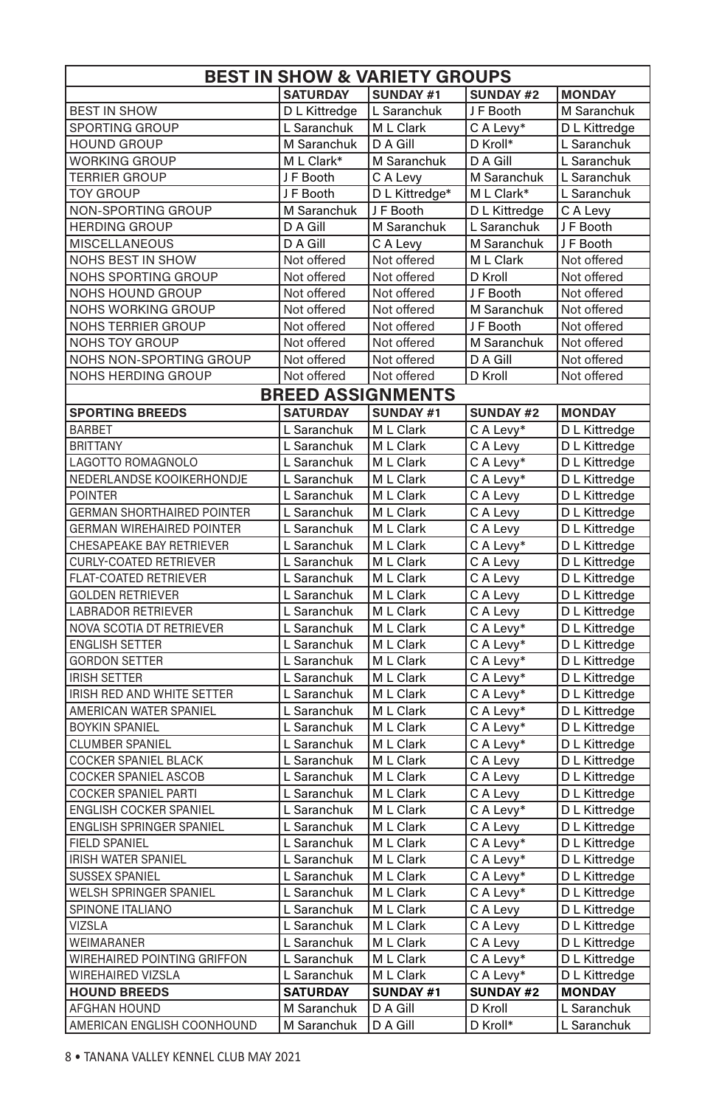| <b>BEST IN SHOW &amp; VARIETY GROUPS</b>         |                                |                          |                             |                                |  |
|--------------------------------------------------|--------------------------------|--------------------------|-----------------------------|--------------------------------|--|
|                                                  | <b>SATURDAY</b>                | <b>SUNDAY #1</b>         | SUNDAY #2                   | <b>MONDAY</b>                  |  |
| <b>BEST IN SHOW</b>                              | D L Kittredge                  | L Saranchuk              | J F Booth                   | M Saranchuk                    |  |
| <b>SPORTING GROUP</b>                            | L Saranchuk                    | M L Clark                | C A Levy*                   | D L Kittredge                  |  |
| <b>HOUND GROUP</b>                               | M Saranchuk                    | D A Gill                 | D Kroll*                    | L Saranchuk                    |  |
| <b>WORKING GROUP</b>                             | M L Clark*                     | M Saranchuk              | D A Gill                    | L Saranchuk                    |  |
| <b>TERRIER GROUP</b>                             | J F Booth                      | C A Levy                 | M Saranchuk                 | L Saranchuk                    |  |
| <b>TOY GROUP</b>                                 | J F Booth                      | D L Kittredge*           | M L Clark*                  | L Saranchuk                    |  |
| NON-SPORTING GROUP                               | M Saranchuk                    | J F Booth                | D L Kittredge               | C A Levy                       |  |
| <b>HERDING GROUP</b>                             | D A Gill                       | M Saranchuk              | L Saranchuk                 | J F Booth                      |  |
| <b>MISCELLANEOUS</b>                             | D A Gill                       | C A Levy                 | M Saranchuk                 | J F Booth                      |  |
| <b>NOHS BEST IN SHOW</b>                         | Not offered                    | Not offered              | M L Clark                   | Not offered                    |  |
| <b>NOHS SPORTING GROUP</b>                       | Not offered                    | Not offered              | D Kroll                     | Not offered                    |  |
| <b>NOHS HOUND GROUP</b>                          | Not offered                    | Not offered              | J F Booth                   | Not offered                    |  |
| <b>NOHS WORKING GROUP</b>                        | Not offered                    | Not offered              | M Saranchuk                 | Not offered                    |  |
| <b>NOHS TERRIER GROUP</b>                        | Not offered                    | Not offered              | J F Booth                   | Not offered                    |  |
| <b>NOHS TOY GROUP</b>                            | Not offered                    | Not offered              | M Saranchuk                 | Not offered                    |  |
| NOHS NON-SPORTING GROUP                          | Not offered                    | Not offered              | D A Gill                    | Not offered                    |  |
| <b>NOHS HERDING GROUP</b>                        | Not offered                    | Not offered              | D Kroll                     | Not offered                    |  |
|                                                  |                                | <b>BREED ASSIGNMENTS</b> |                             |                                |  |
| <b>SPORTING BREEDS</b>                           | <b>SATURDAY</b>                | SUNDAY #1                | <b>SUNDAY #2</b>            | <b>MONDAY</b>                  |  |
| <b>BARBET</b>                                    | L Saranchuk                    | M L Clark                | C A Levy*                   | D L Kittredge                  |  |
| <b>BRITTANY</b>                                  | L Saranchuk                    | M L Clark                | C A Levy                    | D L Kittredge                  |  |
| LAGOTTO ROMAGNOLO                                | L Saranchuk                    | M L Clark                | C A Levy*                   | D L Kittredge                  |  |
| NEDERLANDSE KOOIKERHONDJE                        | L Saranchuk                    | M L Clark                | C A Levy*                   | D L Kittredge                  |  |
| <b>POINTER</b>                                   | L Saranchuk                    | M L Clark                | C A Levy                    | D L Kittredge                  |  |
| <b>GERMAN SHORTHAIRED POINTER</b>                | L Saranchuk                    | M L Clark                | C A Levy                    | <b>D</b> L Kittredge           |  |
| <b>GERMAN WIREHAIRED POINTER</b>                 | L Saranchuk                    | M L Clark                | C A Levy                    | D L Kittredge                  |  |
| CHESAPEAKE BAY RETRIEVER                         | L Saranchuk                    | M L Clark                | $\overline{C}$ A Levy*      | D L Kittredge                  |  |
| <b>CURLY-COATED RETRIEVER</b>                    | L Saranchuk                    | M L Clark                | C A Levy                    | D L Kittredge                  |  |
| FLAT-COATED RETRIEVER                            | L Saranchuk                    | M L Clark                | C A Levy                    | D L Kittredge                  |  |
| <b>GOLDEN RETRIEVER</b>                          | L Saranchuk                    | M L Clark                | C A Levy                    | D L Kittredge                  |  |
| <b>LABRADOR RETRIEVER</b>                        | L Saranchuk                    | M L Clark                | C A Levy                    | D L Kittredge                  |  |
| NOVA SCOTIA DT RETRIEVER                         | L Saranchuk                    | M L Clark                | C A Levy*                   | D L Kittredge                  |  |
| <b>ENGLISH SETTER</b>                            | L Saranchuk                    | M L Clark                | C A Levy*                   | D L Kittredge                  |  |
| <b>GORDON SETTER</b>                             | L Saranchuk                    | M L Clark                | C A Levy*                   | D L Kittredge                  |  |
| <b>IRISH SETTER</b>                              | L Saranchuk                    | M L Clark                | C A Levy*                   | D L Kittredge                  |  |
| IRISH RED AND WHITE SETTER                       | L Saranchuk                    | M L Clark                | C A Levy*                   | D L Kittredge                  |  |
| AMERICAN WATER SPANIEL                           | L Saranchuk                    | M L Clark                | C A Levy*                   | D L Kittredge                  |  |
| <b>BOYKIN SPANIEL</b>                            | L Saranchuk                    | M L Clark                | C A Levy*                   | D L Kittredge                  |  |
| <b>CLUMBER SPANIEL</b>                           | L Saranchuk                    | M L Clark                | C A Levy*                   | D L Kittredge                  |  |
| <b>COCKER SPANIEL BLACK</b>                      | L Saranchuk                    | M L Clark                | C A Levy                    | D L Kittredge                  |  |
| <b>COCKER SPANIEL ASCOB</b>                      | L Saranchuk                    | M L Clark                | C A Levy                    | D L Kittredge                  |  |
| <b>COCKER SPANIEL PARTI</b>                      | L Saranchuk                    | M L Clark                | C A Levy                    | D L Kittredge                  |  |
| ENGLISH COCKER SPANIEL                           | L Saranchuk                    | M L Clark                | C A Levy*                   | D L Kittredge                  |  |
| <b>ENGLISH SPRINGER SPANIEL</b>                  | L Saranchuk                    | M L Clark                | C A Levy                    | D L Kittredge                  |  |
| <b>FIELD SPANIEL</b>                             | L Saranchuk                    | M L Clark                | C A Levy*                   | <b>D</b> L Kittredge           |  |
| <b>IRISH WATER SPANIEL</b>                       | L Saranchuk                    | M L Clark                | C A Levy*                   | <b>DL</b> Kittredge            |  |
| SUSSEX SPANIEL                                   | L Saranchuk                    | M L Clark                | C A Levy*                   | D L Kittredge                  |  |
| WELSH SPRINGER SPANIEL                           | L Saranchuk                    | M L Clark                | C A Levy*                   | D L Kittredge                  |  |
| SPINONE ITALIANO                                 | L Saranchuk                    | M L Clark                | C A Levy                    | D L Kittredge                  |  |
| <b>VIZSLA</b>                                    |                                | M L Clark                | C A Levy                    | D L Kittredge                  |  |
|                                                  | L Saranchuk                    | M L Clark                |                             |                                |  |
| WEIMARANER<br><b>WIREHAIRED POINTING GRIFFON</b> | L Saranchuk<br>L Saranchuk     | M L Clark                | C A Levy<br>C A Levy*       | D L Kittredge<br>D L Kittredge |  |
| <b>WIREHAIRED VIZSLA</b>                         | L Saranchuk                    | M L Clark                | C A Levy*                   | D L Kittredge                  |  |
|                                                  |                                | SUNDAY #1                |                             |                                |  |
| <b>HOUND BREEDS</b><br><b>AFGHAN HOUND</b>       | <b>SATURDAY</b><br>M Saranchuk | $D$ A Gill               | <b>SUNDAY #2</b><br>D Kroll | <b>MONDAY</b>                  |  |
| AMERICAN ENGLISH COONHOUND                       | M Saranchuk                    | D A Gill                 |                             | L Saranchuk                    |  |
|                                                  |                                |                          | D Kroll*                    | L Saranchuk                    |  |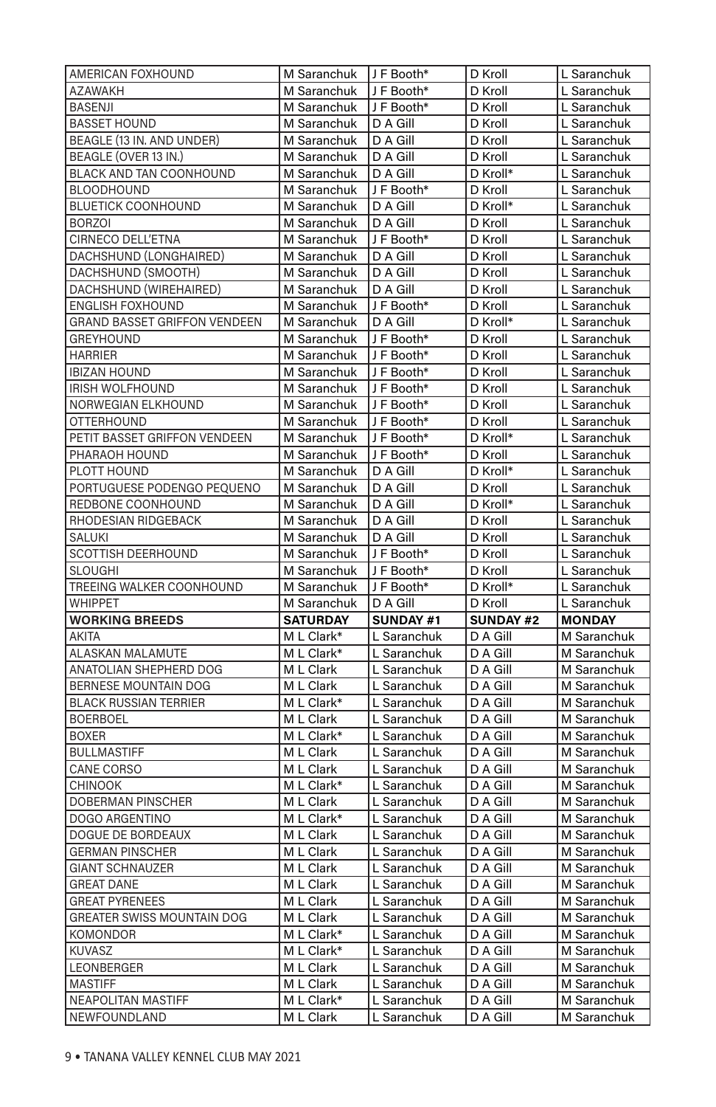| AMERICAN FOXHOUND                  | M Saranchuk             | J F Booth*                 | D Kroll              | L Saranchuk                |
|------------------------------------|-------------------------|----------------------------|----------------------|----------------------------|
| AZAWAKH                            | M Saranchuk             | J F Booth*                 | D Kroll              | L Saranchuk                |
| BASENJI                            | M Saranchuk             | J F Booth*                 | D Kroll              | L Saranchuk                |
| <b>BASSET HOUND</b>                | M Saranchuk             | D A Gill                   | D Kroll              | L Saranchuk                |
| BEAGLE (13 IN. AND UNDER)          | M Saranchuk             | D A Gill                   | D Kroll              | L Saranchuk                |
| BEAGLE (OVER 13 IN.)               | M Saranchuk             | D A Gill                   | D Kroll              | L Saranchuk                |
| BLACK AND TAN COONHOUND            | M Saranchuk             | D A Gill                   | D Kroll*             | L Saranchuk                |
| <b>BLOODHOUND</b>                  | M Saranchuk             | J F Booth*                 | D Kroll              | L Saranchuk                |
| <b>BLUETICK COONHOUND</b>          | M Saranchuk             | D A Gill                   | D Kroll*             | L Saranchuk                |
| <b>BORZOI</b>                      | M Saranchuk             | D A Gill                   | D Kroll              | L Saranchuk                |
| CIRNECO DELL'ETNA                  | M Saranchuk             | J F Booth*                 | D Kroll              | L Saranchuk                |
| DACHSHUND (LONGHAIRED)             | M Saranchuk             | D A Gill                   | D Kroll              | L Saranchuk                |
| DACHSHUND (SMOOTH)                 | M Saranchuk             | D A Gill                   | D Kroll              | L Saranchuk                |
| DACHSHUND (WIREHAIRED)             | M Saranchuk             | D A Gill                   | D Kroll              | L Saranchuk                |
| <b>ENGLISH FOXHOUND</b>            | M Saranchuk             | J F Booth*                 | D Kroll              | L Saranchuk                |
| GRAND BASSET GRIFFON VENDEEN       | M Saranchuk             | D A Gill                   | D Kroll*             | L Saranchuk                |
| <b>GREYHOUND</b>                   | M Saranchuk             | J F Booth*                 | D Kroll              | L Saranchuk                |
| <b>HARRIER</b>                     | M Saranchuk             | J F Booth*                 | D Kroll              | L Saranchuk                |
| <b>IBIZAN HOUND</b>                | M Saranchuk             | J F Booth*                 | D Kroll              | L Saranchuk                |
| IRISH WOLFHOUND                    | M Saranchuk             | J F Booth*                 | D Kroll              | L Saranchuk                |
| NORWEGIAN ELKHOUND                 | M Saranchuk             | J F Booth*                 | D Kroll              | L Saranchuk                |
| OTTERHOUND                         | M Saranchuk             | J F Booth*                 | D Kroll              | L Saranchuk                |
| PETIT BASSET GRIFFON VENDEEN       | M Saranchuk             | J F Booth*                 | D Kroll*             | L Saranchuk                |
| PHARAOH HOUND                      | M Saranchuk             | J F Booth*                 | D Kroll              | L Saranchuk                |
| PLOTT HOUND                        | M Saranchuk             | D A Gill                   | D Kroll*             | L Saranchuk                |
| PORTUGUESE PODENGO PEQUENO         | M Saranchuk             | D A Gill                   | D Kroll              | L Saranchuk                |
| REDBONE COONHOUND                  | M Saranchuk             | D A Gill                   | D Kroll*             | L Saranchuk                |
| RHODESIAN RIDGEBACK                | M Saranchuk             | D A Gill                   | D Kroll              | L Saranchuk                |
| SALUKI                             | M Saranchuk             | D A Gill                   | D Kroll              | L Saranchuk                |
|                                    |                         |                            |                      |                            |
| SCOTTISH DEERHOUND                 | M Saranchuk             | J F Booth*                 | D Kroll              | L Saranchuk                |
| SLOUGHI                            | M Saranchuk             | J F Booth*                 | D Kroll              | L Saranchuk                |
| TREEING WALKER COONHOUND           | M Saranchuk             | J F Booth*                 | D Kroll*             | L Saranchuk                |
| WHIPPET                            | M Saranchuk             | D A Gill                   | D Kroll              | L Saranchuk                |
| <b>WORKING BREEDS</b>              | <b>SATURDAY</b>         | SUNDAY #1                  | SUNDAY #2            | <b>MONDAY</b>              |
| <b>AKITA</b>                       | M L Clark*              | L Saranchuk                | D A Gill             | M Saranchuk                |
| ALASKAN MALAMUTE                   | M L Clark*              | L Saranchuk                | D A Gill             | M Saranchuk                |
| ANATOLIAN SHEPHERD DOG             | M L Clark               | L Saranchuk                | D A Gill             | M Saranchuk                |
| BERNESE MOUNTAIN DOG               | M L Clark               | L Saranchuk                | D A Gill             | M Saranchuk                |
| <b>BLACK RUSSIAN TERRIER</b>       | M L Clark*              | L Saranchuk                | D A Gill             | M Saranchuk                |
| <b>BOERBOEL</b>                    | M L Clark               | L Saranchuk                | D A Gill             | M Saranchuk                |
| BOXER                              | M L Clark*              | L Saranchuk                | D A Gill             | M Saranchuk                |
| <b>BULLMASTIFF</b>                 | M L Clark               | L Saranchuk                | D A Gill             | M Saranchuk                |
| <b>CANE CORSO</b>                  | M L Clark               | L Saranchuk                | D A Gill             | M Saranchuk                |
| <b>CHINOOK</b>                     | M L Clark*              | L Saranchuk                | D A Gill             | M Saranchuk                |
| DOBERMAN PINSCHER                  | M L Clark               | L Saranchuk                | D A Gill             | M Saranchuk                |
| DOGO ARGENTINO                     | M L Clark*              | L Saranchuk                | D A Gill             | M Saranchuk                |
| DOGUE DE BORDEAUX                  | M L Clark               | L Saranchuk                | D A Gill             | M Saranchuk                |
| <b>GERMAN PINSCHER</b>             | M L Clark               | L Saranchuk                | D A Gill             | M Saranchuk                |
| <b>GIANT SCHNAUZER</b>             | M L Clark               | L Saranchuk                | D A Gill             | M Saranchuk                |
| GREAT DANE                         | M L Clark               | L Saranchuk                | D A Gill             | M Saranchuk                |
| <b>GREAT PYRENEES</b>              | M L Clark               | L Saranchuk                | D A Gill             | M Saranchuk                |
| GREATER SWISS MOUNTAIN DOG         | M L Clark               | L Saranchuk                | D A Gill             | M Saranchuk                |
| <b>KOMONDOR</b>                    | M L Clark*              | L Saranchuk                | D A Gill             | M Saranchuk                |
| <b>KUVASZ</b>                      | M L Clark*              | L Saranchuk                | D A Gill             | M Saranchuk                |
| LEONBERGER                         | M L Clark               | L Saranchuk                | D A Gill             | M Saranchuk                |
| <b>MASTIFF</b>                     | M L Clark               | L Saranchuk                | D A Gill             | M Saranchuk                |
| NEAPOLITAN MASTIFF<br>NEWFOUNDLAND | M L Clark*<br>M L Clark | L Saranchuk<br>L Saranchuk | D A Gill<br>D A Gill | M Saranchuk<br>M Saranchuk |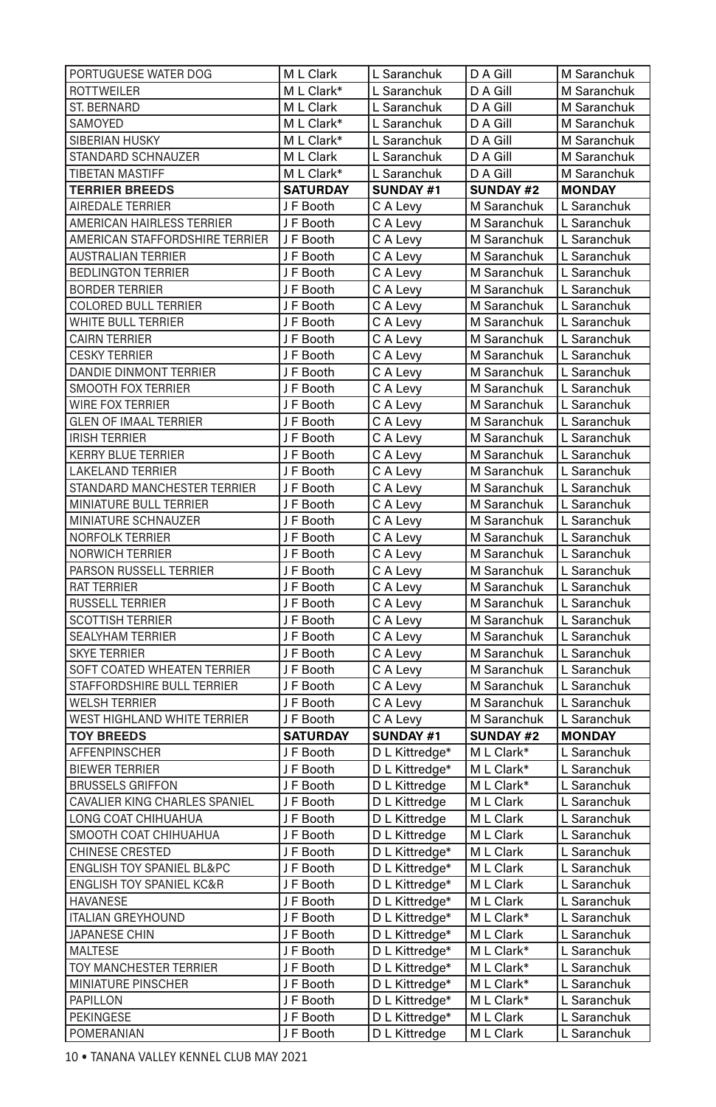| PORTUGUESE WATER DOG                | M L Clark       | L Saranchuk          | D A Gill                         | M Saranchuk   |
|-------------------------------------|-----------------|----------------------|----------------------------------|---------------|
| <b>ROTTWEILER</b>                   | M L Clark*      | L Saranchuk          | D A Gill                         | M Saranchuk   |
| ST. BERNARD                         | M L Clark       | L Saranchuk          | D A Gill                         | M Saranchuk   |
| SAMOYED                             | M L Clark*      | L Saranchuk          | D A Gill                         | M Saranchuk   |
| SIBERIAN HUSKY                      | M L Clark*      | L Saranchuk          | D A Gill                         | M Saranchuk   |
| STANDARD SCHNAUZER                  | M L Clark       | L Saranchuk          | D A Gill                         | M Saranchuk   |
| <b>TIBETAN MASTIFF</b>              | M L Clark*      | L Saranchuk          | D A Gill                         | M Saranchuk   |
| <b>TERRIER BREEDS</b>               | <b>SATURDAY</b> | SUNDAY #1            | <b>SUNDAY #2</b>                 | <b>MONDAY</b> |
| AIREDALE TERRIER                    | J F Booth       | C A Levy             | M Saranchuk                      | L Saranchuk   |
| AMERICAN HAIRLESS TERRIER           | J F Booth       | C A Levy             | M Saranchuk                      | L Saranchuk   |
| AMERICAN STAFFORDSHIRE TERRIER      | J F Booth       | C A Levy             | M Saranchuk                      | L Saranchuk   |
| <b>AUSTRALIAN TERRIER</b>           | J F Booth       | C A Levy             | M Saranchuk                      | L Saranchuk   |
| <b>BEDLINGTON TERRIER</b>           | J F Booth       | C A Levy             | M Saranchuk                      | L Saranchuk   |
| <b>BORDER TERRIER</b>               | J F Booth       | C A Levy             | M Saranchuk                      | L Saranchuk   |
| <b>COLORED BULL TERRIER</b>         | J F Booth       | C A Levy             | M Saranchuk                      | L Saranchuk   |
| WHITE BULL TERRIER                  | J F Booth       | C A Levy             | M Saranchuk                      | L Saranchuk   |
| <b>CAIRN TERRIER</b>                | J F Booth       | C A Levy             | M Saranchuk                      | L Saranchuk   |
| <b>CESKY TERRIER</b>                | J F Booth       | C A Levy             | M Saranchuk                      | L Saranchuk   |
| DANDIE DINMONT TERRIER              | J F Booth       | C A Levy             | M Saranchuk                      | L Saranchuk   |
| SMOOTH FOX TERRIER                  | J F Booth       | C A Levy             | M Saranchuk                      | L Saranchuk   |
| WIRE FOX TERRIER                    | J F Booth       | C A Levy             | M Saranchuk                      | L Saranchuk   |
| <b>GLEN OF IMAAL TERRIER</b>        | J F Booth       | C A Levy             | M Saranchuk                      | L Saranchuk   |
| <b>IRISH TERRIER</b>                | J F Booth       | C A Levy             | M Saranchuk                      | L Saranchuk   |
| <b>KERRY BLUE TERRIER</b>           | J F Booth       | C A Levy             | M Saranchuk                      | L Saranchuk   |
| <b>LAKELAND TERRIER</b>             | J F Booth       | C A Levy             | M Saranchuk                      | L Saranchuk   |
| STANDARD MANCHESTER TERRIER         | J F Booth       | C A Levy             | M Saranchuk                      | L Saranchuk   |
| MINIATURE BULL TERRIER              | J F Booth       | C A Levy             | M Saranchuk                      | L Saranchuk   |
| MINIATURE SCHNAUZER                 | J F Booth       | C A Levy             | M Saranchuk                      | L Saranchuk   |
| NORFOLK TERRIER                     | J F Booth       | C A Levy             | M Saranchuk                      | L Saranchuk   |
| <b>NORWICH TERRIER</b>              | J F Booth       | C A Levy             | M Saranchuk                      | L Saranchuk   |
| PARSON RUSSELL TERRIER              | J F Booth       | C A Levy             | M Saranchuk                      | L Saranchuk   |
| <b>RAT TERRIER</b>                  | J F Booth       | C A Levy             | M Saranchuk                      | L Saranchuk   |
| <b>RUSSELL TERRIER</b>              | J F Booth       | C A Levy             | M Saranchuk                      | L Saranchuk   |
| <b>SCOTTISH TERRIER</b>             | J F Booth       | C A Levy             | M Saranchuk                      | L Saranchuk   |
| SEALYHAM TERRIER                    | J F Booth       | C A Levy             | M Saranchuk                      | L Saranchuk   |
| <b>SKYE TERRIER</b>                 | J F Booth       | C A Levy             | M Saranchuk                      | L Saranchuk   |
| SOFT COATED WHEATEN TERRIER         | J F Booth       | C A Levy             | M Saranchuk                      | L Saranchuk   |
| STAFFORDSHIRE BULL TERRIER          | J F Booth       | C A Levy             | M Saranchuk                      | L Saranchuk   |
| <b>WELSH TERRIER</b>                | J F Booth       | C A Levy             | M Saranchuk                      | L Saranchuk   |
| WEST HIGHLAND WHITE TERRIER         | J F Booth       | C A Levy             | M Saranchuk                      | L Saranchuk   |
| <b>TOY BREEDS</b>                   | <b>SATURDAY</b> | SUNDAY #1            | <b>SUNDAY #2</b>                 | <b>MONDAY</b> |
| <b>AFFENPINSCHER</b>                | J F Booth       | D L Kittredge*       | M L Clark*                       | L Saranchuk   |
| <b>BIEWER TERRIER</b>               | J F Booth       | D L Kittredge*       | M L Clark*                       | L Saranchuk   |
| <b>BRUSSELS GRIFFON</b>             | J F Booth       | D L Kittredge        | $\overline{\mathsf{M}}$ L Clark* | L Saranchuk   |
| CAVALIER KING CHARLES SPANIEL       | J F Booth       | D L Kittredge        | M L Clark                        | L Saranchuk   |
| LONG COAT CHIHUAHUA                 | J F Booth       | <b>D</b> L Kittredge | M L Clark                        | L Saranchuk   |
| SMOOTH COAT CHIHUAHUA               | J F Booth       | D L Kittredge        | M L Clark                        | L Saranchuk   |
| CHINESE CRESTED                     | J F Booth       | D L Kittredge*       | M L Clark                        | L Saranchuk   |
| ENGLISH TOY SPANIEL BL&PC           | J F Booth       | D L Kittredge*       | M L Clark                        | L Saranchuk   |
| <b>ENGLISH TOY SPANIEL KC&amp;R</b> | J F Booth       | D L Kittredge*       | M L Clark                        | L Saranchuk   |
| <b>HAVANESE</b>                     | J F Booth       | D L Kittredge*       | M L Clark                        | L Saranchuk   |
| <b>ITALIAN GREYHOUND</b>            | J F Booth       | D L Kittredge*       | M L Clark*                       | L Saranchuk   |
| <b>JAPANESE CHIN</b>                | J F Booth       | D L Kittredge*       | M L Clark                        | L Saranchuk   |
| MALTESE                             | J F Booth       | D L Kittredge*       | M L Clark*                       | L Saranchuk   |
| TOY MANCHESTER TERRIER              | J F Booth       | D L Kittredge*       | M L Clark*                       | L Saranchuk   |
| MINIATURE PINSCHER                  | J F Booth       | D L Kittredge*       | M L Clark*                       | L Saranchuk   |
| PAPILLON                            | J F Booth       | D L Kittredge*       | M L Clark*                       | L Saranchuk   |
| PEKINGESE                           | J F Booth       | D L Kittredge*       | M L Clark                        | L Saranchuk   |
| POMERANIAN                          | J F Booth       | D L Kittredge        | M L Clark                        | L Saranchuk   |

10 • TANANA VALLEY KENNEL CLUB MAY 2021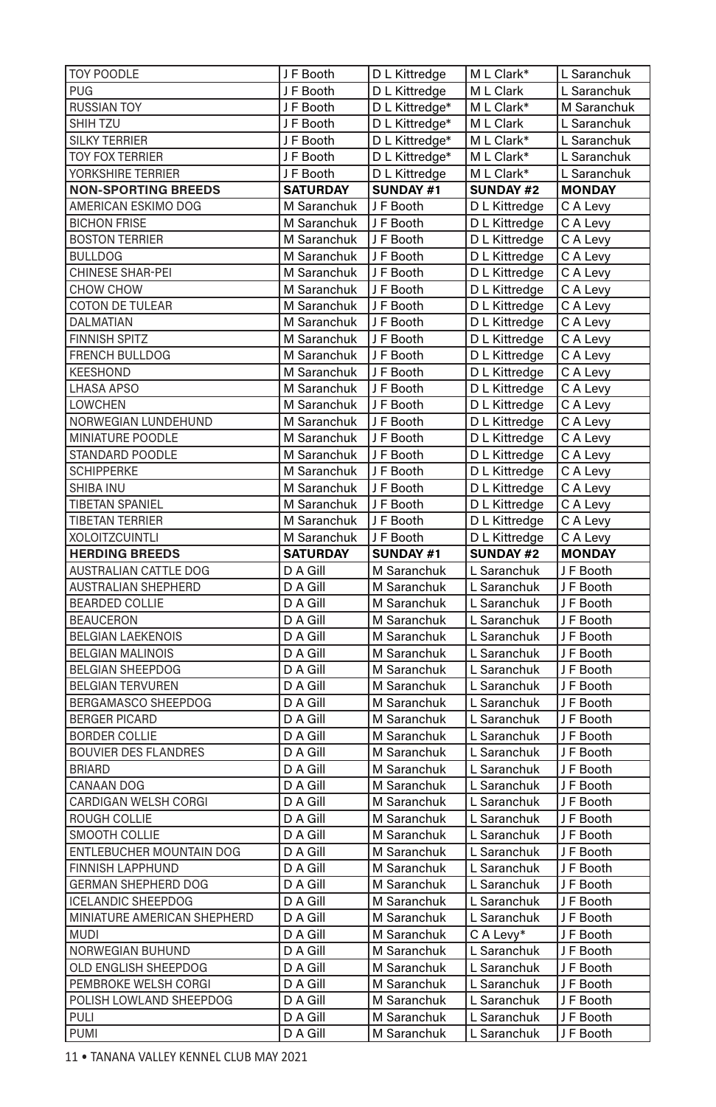| <b>TOY POODLE</b>           | J F Booth       | D L Kittredge  | M L Clark*       | L Saranchuk   |
|-----------------------------|-----------------|----------------|------------------|---------------|
| <b>PUG</b>                  | J F Booth       | D L Kittredge  | M L Clark        | L Saranchuk   |
| <b>RUSSIAN TOY</b>          | J F Booth       | D L Kittredge* | M L Clark*       | M Saranchuk   |
| SHIH TZU                    | J F Booth       | D L Kittredge* | M L Clark        | L Saranchuk   |
| <b>SILKY TERRIER</b>        | J F Booth       | D L Kittredge* | M L Clark*       | L Saranchuk   |
| <b>TOY FOX TERRIER</b>      | J F Booth       | D L Kittredge* | M L Clark*       | L Saranchuk   |
| YORKSHIRE TERRIER           | J F Booth       | D L Kittredge  | M L Clark*       | L Saranchuk   |
| <b>NON-SPORTING BREEDS</b>  | <b>SATURDAY</b> | SUNDAY #1      | <b>SUNDAY #2</b> | <b>MONDAY</b> |
| AMERICAN ESKIMO DOG         | M Saranchuk     | J F Booth      | D L Kittredge    | C A Levy      |
| <b>BICHON FRISE</b>         | M Saranchuk     | J F Booth      | D L Kittredge    | C A Levy      |
| <b>BOSTON TERRIER</b>       | M Saranchuk     | J F Booth      | D L Kittredge    | C A Levy      |
| <b>BULLDOG</b>              | M Saranchuk     | J F Booth      | D L Kittredge    | C A Levy      |
| <b>CHINESE SHAR-PEI</b>     | M Saranchuk     | J F Booth      | D L Kittredge    | C A Levy      |
| CHOW CHOW                   | M Saranchuk     | J F Booth      | D L Kittredge    | C A Levy      |
| COTON DE TULEAR             | M Saranchuk     | J F Booth      | D L Kittredge    | C A Levy      |
| DALMATIAN                   | M Saranchuk     | J F Booth      | D L Kittredge    | C A Levy      |
| <b>FINNISH SPITZ</b>        | M Saranchuk     | J F Booth      | D L Kittredge    | C A Levy      |
| FRENCH BULLDOG              | M Saranchuk     | J F Booth      | D L Kittredge    | C A Levy      |
| <b>KEESHOND</b>             | M Saranchuk     | J F Booth      | D L Kittredge    | C A Levy      |
| LHASA APSO                  | M Saranchuk     | J F Booth      | D L Kittredge    | C A Levy      |
| <b>LOWCHEN</b>              | M Saranchuk     | J F Booth      | D L Kittredge    | C A Levy      |
| NORWEGIAN LUNDEHUND         | M Saranchuk     | J F Booth      | D L Kittredge    | C A Levy      |
| MINIATURE POODLE            | M Saranchuk     | J F Booth      | D L Kittredge    | C A Levy      |
| STANDARD POODLE             | M Saranchuk     | J F Booth      | D L Kittredge    | C A Levy      |
| <b>SCHIPPERKE</b>           | M Saranchuk     | J F Booth      | D L Kittredge    | C A Levy      |
| SHIBA INU                   | M Saranchuk     | J F Booth      | D L Kittredge    | C A Levy      |
| <b>TIBETAN SPANIEL</b>      | M Saranchuk     | J F Booth      | D L Kittredge    | C A Levy      |
| <b>TIBETAN TERRIER</b>      | M Saranchuk     | J F Booth      | D L Kittredge    | C A Levy      |
| <b>XOLOITZCUINTLI</b>       | M Saranchuk     | J F Booth      | D L Kittredge    | C A Levy      |
| <b>HERDING BREEDS</b>       | <b>SATURDAY</b> | SUNDAY #1      | SUNDAY #2        | <b>MONDAY</b> |
| AUSTRALIAN CATTLE DOG       | D A Gill        | M Saranchuk    | L Saranchuk      | J F Booth     |
| <b>AUSTRALIAN SHEPHERD</b>  | D A Gill        | M Saranchuk    | L Saranchuk      | J F Booth     |
| <b>BEARDED COLLIE</b>       | D A Gill        | M Saranchuk    | L Saranchuk      | J F Booth     |
| <b>BEAUCERON</b>            | D A Gill        | M Saranchuk    | L Saranchuk      | J F Booth     |
| <b>BELGIAN LAEKENOIS</b>    | D A Gill        | M Saranchuk    | L Saranchuk      | J F Booth     |
| <b>BELGIAN MALINOIS</b>     | D A Gill        | M Saranchuk    | L Saranchuk      | J F Booth     |
| BELGIAN SHEEPDOG            | D A Gill        | M Saranchuk    | L Saranchuk      | J F Booth     |
| BELGIAN TERVUREN            | D A Gill        | M Saranchuk    | L Saranchuk      | J F Booth     |
| BERGAMASCO SHEEPDOG         | D A Gill        | M Saranchuk    | L Saranchuk      | J F Booth     |
| <b>BERGER PICARD</b>        | D A Gill        | M Saranchuk    | L Saranchuk      | J F Booth     |
| <b>BORDER COLLIE</b>        | D A Gill        | M Saranchuk    | L Saranchuk      | J F Booth     |
| <b>BOUVIER DES FLANDRES</b> | D A Gill        | M Saranchuk    | L Saranchuk      | J F Booth     |
| <b>BRIARD</b>               | D A Gill        | M Saranchuk    | L Saranchuk      | J F Booth     |
| CANAAN DOG                  | D A Gill        | M Saranchuk    | L Saranchuk      | J F Booth     |
| CARDIGAN WELSH CORGI        | D A Gill        | M Saranchuk    | L Saranchuk      | J F Booth     |
| ROUGH COLLIE                | D A Gill        | M Saranchuk    | L Saranchuk      | J F Booth     |
| SMOOTH COLLIE               | D A Gill        | M Saranchuk    | L Saranchuk      | J F Booth     |
| ENTLEBUCHER MOUNTAIN DOG    | D A Gill        | M Saranchuk    | L Saranchuk      | J F Booth     |
| <b>FINNISH LAPPHUND</b>     | D A Gill        | M Saranchuk    | L Saranchuk      | J F Booth     |
| GERMAN SHEPHERD DOG         | D A Gill        | M Saranchuk    | L Saranchuk      | J F Booth     |
| <b>ICELANDIC SHEEPDOG</b>   | D A Gill        | M Saranchuk    | L Saranchuk      | J F Booth     |
| MINIATURE AMERICAN SHEPHERD | D A Gill        | M Saranchuk    | L Saranchuk      | J F Booth     |
| MUDI                        | D A Gill        | M Saranchuk    | C A Levy*        | J F Booth     |
| NORWEGIAN BUHUND            | D A Gill        | M Saranchuk    | L Saranchuk      | J F Booth     |
| OLD ENGLISH SHEEPDOG        | D A Gill        | M Saranchuk    | L Saranchuk      | J F Booth     |
| PEMBROKE WELSH CORGI        | D A Gill        | M Saranchuk    | L Saranchuk      | J F Booth     |
| POLISH LOWLAND SHEEPDOG     | D A Gill        | M Saranchuk    | L Saranchuk      | J F Booth     |
| <b>PULI</b>                 | D A Gill        | M Saranchuk    | L Saranchuk      | J F Booth     |
| PUMI                        | D A Gill        | M Saranchuk    | L Saranchuk      | J F Booth     |

11 • TANANA VALLEY KENNEL CLUB MAY 2021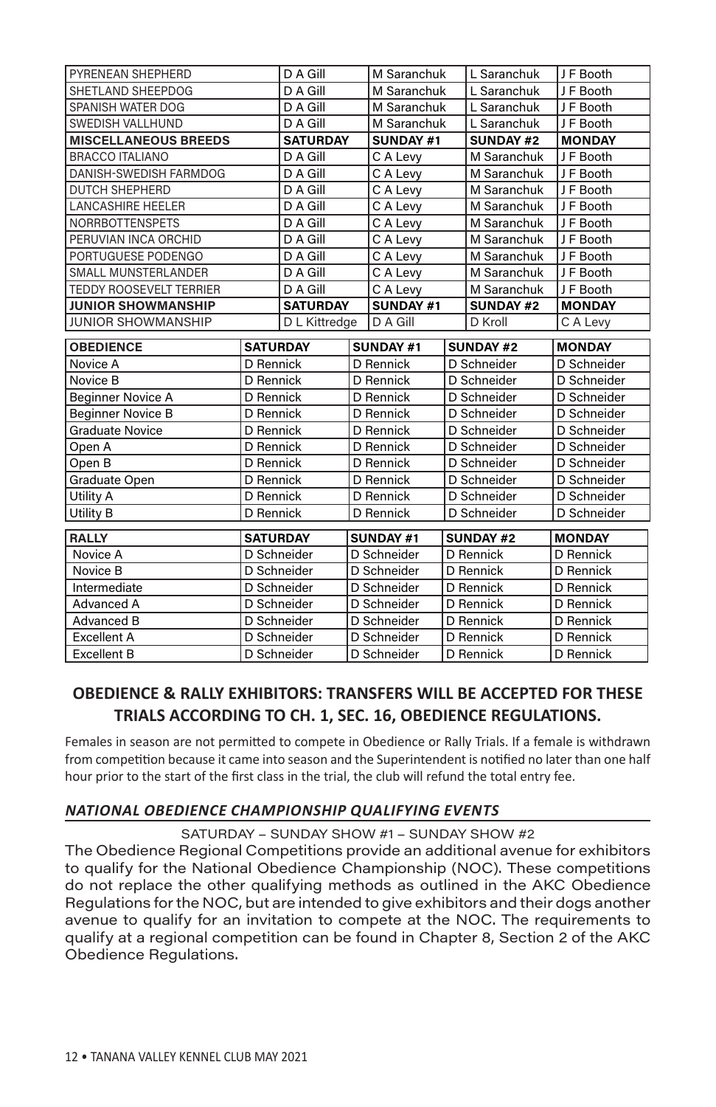| PYRENEAN SHEPHERD           |                 | D A Gill                |             | M Saranchuk |             | L Saranchuk      | J F Booth     |
|-----------------------------|-----------------|-------------------------|-------------|-------------|-------------|------------------|---------------|
| SHETLAND SHEEPDOG           |                 | D A Gill                | M Saranchuk |             |             | L Saranchuk      | J F Booth     |
| SPANISH WATER DOG           |                 | D A Gill<br>M Saranchuk |             |             | L Saranchuk | J F Booth        |               |
| <b>SWEDISH VALLHUND</b>     |                 | D A Gill                |             | M Saranchuk | L Saranchuk |                  | J F Booth     |
| <b>MISCELLANEOUS BREEDS</b> |                 | <b>SATURDAY</b>         |             | SUNDAY #1   |             | <b>SUNDAY #2</b> | <b>MONDAY</b> |
| <b>BRACCO ITALIANO</b>      |                 | D A Gill                |             | C A Levy    |             | M Saranchuk      | J F Booth     |
| DANISH-SWEDISH FARMDOG      |                 | D A Gill                |             | C A Levy    |             | M Saranchuk      | J F Booth     |
| <b>DUTCH SHEPHERD</b>       |                 | D A Gill                |             | C A Levy    |             | M Saranchuk      | J F Booth     |
| <b>LANCASHIRE HEELER</b>    |                 | D A Gill                |             | C A Levy    |             | M Saranchuk      | J F Booth     |
| <b>NORRBOTTENSPETS</b>      |                 | D A Gill                |             | C A Levy    |             | M Saranchuk      | J F Booth     |
| PERUVIAN INCA ORCHID        |                 | D A Gill                |             | C A Levy    |             | M Saranchuk      | J F Booth     |
| PORTUGUESE PODENGO          |                 | D A Gill                |             | C A Levy    |             | M Saranchuk      | J F Booth     |
| <b>SMALL MUNSTERLANDER</b>  |                 | D A Gill                |             | C A Levy    |             | M Saranchuk      | J F Booth     |
| TEDDY ROOSEVELT TERRIER     |                 | D A Gill                |             | C A Levy    |             | M Saranchuk      | J F Booth     |
| <b>JUNIOR SHOWMANSHIP</b>   |                 | <b>SATURDAY</b>         |             | SUNDAY #1   |             | <b>SUNDAY #2</b> | <b>MONDAY</b> |
| <b>JUNIOR SHOWMANSHIP</b>   |                 | D L Kittredge           |             | D A Gill    |             | D Kroll          | C A Levy      |
| <b>OBEDIENCE</b>            | <b>SATURDAY</b> |                         |             | SUNDAY #1   |             | SUNDAY #2        | <b>MONDAY</b> |
| Novice A                    | D Rennick       |                         |             | D Rennick   |             | D Schneider      | D Schneider   |
| Novice B                    | D Rennick       |                         |             | D Rennick   |             | D Schneider      | D Schneider   |
| <b>Beginner Novice A</b>    | D Rennick       |                         |             | D Rennick   |             | D Schneider      | D Schneider   |
| <b>Beginner Novice B</b>    | D Rennick       |                         |             | D Rennick   |             | D Schneider      | D Schneider   |
| <b>Graduate Novice</b>      | D Rennick       |                         |             | D Rennick   |             | D Schneider      | D Schneider   |
| Open A                      | D Rennick       |                         |             | D Rennick   | D Schneider |                  | D Schneider   |
| Open B                      | D Rennick       |                         |             | D Rennick   | D Schneider |                  | D Schneider   |
| Graduate Open               | D Rennick       | D Rennick               |             |             | D Schneider |                  | D Schneider   |
| Utility A                   |                 |                         |             |             |             |                  |               |
|                             | D Rennick       |                         |             | D Rennick   |             | D Schneider      | D Schneider   |
| Utility B                   | D Rennick       |                         |             | D Rennick   |             | D Schneider      | D Schneider   |
| <b>RALLY</b>                | <b>SATURDAY</b> |                         |             | SUNDAY #1   |             | <b>SUNDAY #2</b> | <b>MONDAY</b> |
| Novice A                    |                 | D Schneider             |             | D Schneider |             | D Rennick        | D Rennick     |
| Novice B                    |                 | D Schneider             |             | D Schneider |             | D Rennick        | D Rennick     |
| Intermediate                |                 | D Schneider             |             | D Schneider |             | D Rennick        | D Rennick     |
| Advanced A                  |                 | D Schneider             |             | D Schneider |             | D Rennick        | D Rennick     |
| Advanced B                  |                 | D Schneider             |             | D Schneider |             | D Rennick        | D Rennick     |
| <b>Excellent A</b>          |                 | D Schneider             |             | D Schneider |             | D Rennick        | D Rennick     |

# **OBEDIENCE & RALLY EXHIBITORS: TRANSFERS WILL BE ACCEPTED FOR THESE TRIALS ACCORDING TO CH. 1, SEC. 16, OBEDIENCE REGULATIONS.**

Females in season are not permitted to compete in Obedience or Rally Trials. If a female is withdrawn from competition because it came into season and the Superintendent is notified no later than one half hour prior to the start of the first class in the trial, the club will refund the total entry fee.

# *NATIONAL OBEDIENCE CHAMPIONSHIP QUALIFYING EVENTS*

SATURDAY – SUNDAY SHOW #1 – SUNDAY SHOW #2

The Obedience Regional Competitions provide an additional avenue for exhibitors to qualify for the National Obedience Championship (NOC). These competitions do not replace the other qualifying methods as outlined in the AKC Obedience Regulations for the NOC, but are intended to give exhibitors and their dogs another avenue to qualify for an invitation to compete at the NOC. The requirements to qualify at a regional competition can be found in Chapter 8, Section 2 of the AKC Obedience Regulations.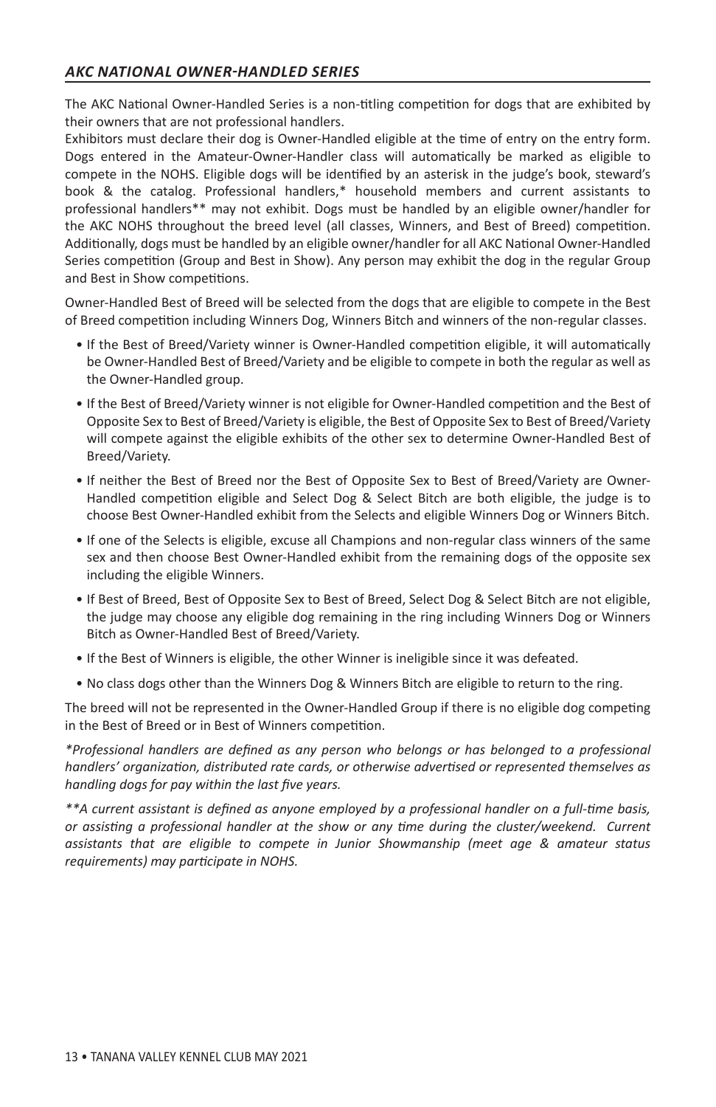The AKC National Owner-Handled Series is a non-titling competition for dogs that are exhibited by their owners that are not professional handlers.

Exhibitors must declare their dog is Owner-Handled eligible at the time of entry on the entry form. Dogs entered in the Amateur-Owner-Handler class will automatically be marked as eligible to compete in the NOHS. Eligible dogs will be identified by an asterisk in the judge's book, steward's book & the catalog. Professional handlers,\* household members and current assistants to professional handlers\*\* may not exhibit. Dogs must be handled by an eligible owner/handler for the AKC NOHS throughout the breed level (all classes, Winners, and Best of Breed) competition. Additionally, dogs must be handled by an eligible owner/handler for all AKC National Owner‐Handled Series competition (Group and Best in Show). Any person may exhibit the dog in the regular Group and Best in Show competitions.

Owner-Handled Best of Breed will be selected from the dogs that are eligible to compete in the Best of Breed competition including Winners Dog, Winners Bitch and winners of the non-regular classes.

- If the Best of Breed/Variety winner is Owner-Handled competition eligible, it will automatically be Owner-Handled Best of Breed/Variety and be eligible to compete in both the regular as well as the Owner-Handled group.
- If the Best of Breed/Variety winner is not eligible for Owner-Handled competition and the Best of Opposite Sex to Best of Breed/Variety is eligible, the Best of Opposite Sex to Best of Breed/Variety will compete against the eligible exhibits of the other sex to determine Owner-Handled Best of Breed/Variety.
- If neither the Best of Breed nor the Best of Opposite Sex to Best of Breed/Variety are Owner-Handled competition eligible and Select Dog & Select Bitch are both eligible, the judge is to choose Best Owner-Handled exhibit from the Selects and eligible Winners Dog or Winners Bitch.
- If one of the Selects is eligible, excuse all Champions and non-regular class winners of the same sex and then choose Best Owner-Handled exhibit from the remaining dogs of the opposite sex including the eligible Winners.
- If Best of Breed, Best of Opposite Sex to Best of Breed, Select Dog & Select Bitch are not eligible, the judge may choose any eligible dog remaining in the ring including Winners Dog or Winners Bitch as Owner-Handled Best of Breed/Variety.
- If the Best of Winners is eligible, the other Winner is ineligible since it was defeated.
- No class dogs other than the Winners Dog & Winners Bitch are eligible to return to the ring.

The breed will not be represented in the Owner-Handled Group if there is no eligible dog competing in the Best of Breed or in Best of Winners competition.

*\*Professional handlers are defined as any person who belongs or has belonged to a professional handlers' organization, distributed rate cards, or otherwise advertised or represented themselves as handling dogs for pay within the last five years.*

*\*\*A current assistant is defined as anyone employed by a professional handler on a full-time basis, or assisting a professional handler at the show or any time during the cluster/weekend. Current assistants that are eligible to compete in Junior Showmanship (meet age & amateur status requirements) may participate in NOHS.*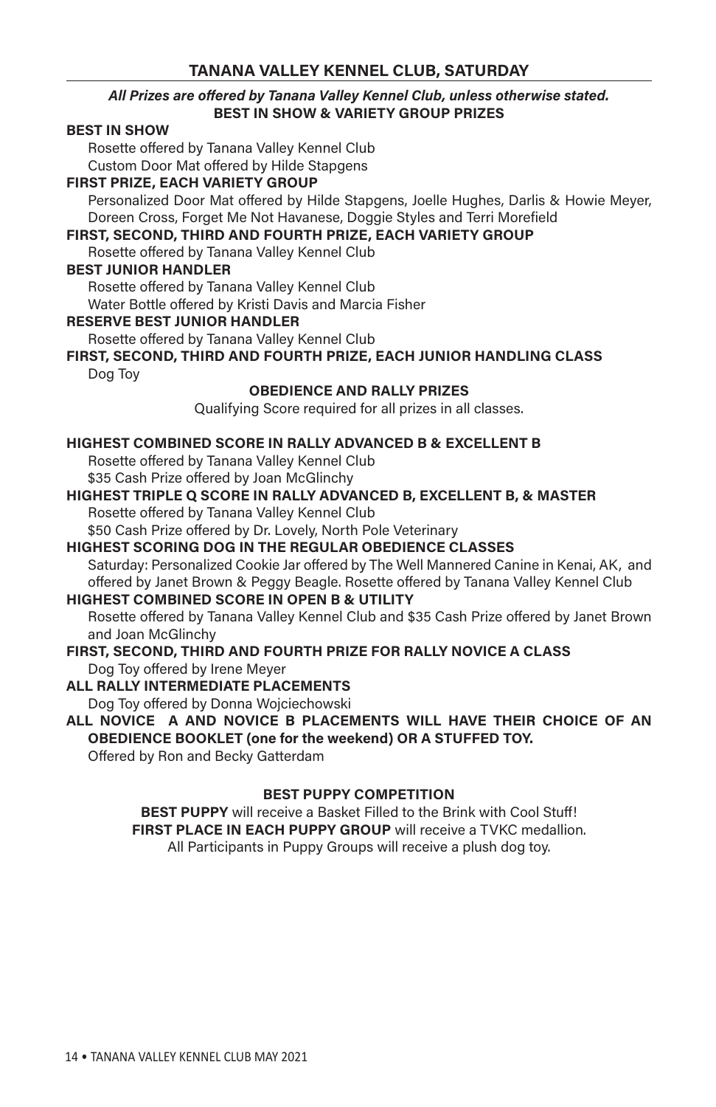# **TANANA VALLEY KENNEL CLUB, SATURDAY**

### *All Prizes are offered by Tanana Valley Kennel Club, unless otherwise stated.* **BEST IN SHOW & VARIETY GROUP PRIZES**

# **BEST IN SHOW**

Rosette offered by Tanana Valley Kennel Club Custom Door Mat offered by Hilde Stapgens

# **FIRST PRIZE, EACH VARIETY GROUP**

Personalized Door Mat offered by Hilde Stapgens, Joelle Hughes, Darlis & Howie Meyer, Doreen Cross, Forget Me Not Havanese, Doggie Styles and Terri Morefield

# **FIRST, SECOND, THIRD AND FOURTH PRIZE, EACH VARIETY GROUP**

Rosette offered by Tanana Valley Kennel Club

# **BEST JUNIOR HANDLER**

Rosette offered by Tanana Valley Kennel Club

Water Bottle offered by Kristi Davis and Marcia Fisher

## **RESERVE BEST JUNIOR HANDLER**

Rosette offered by Tanana Valley Kennel Club

# **FIRST, SECOND, THIRD AND FOURTH PRIZE, EACH JUNIOR HANDLING CLASS**

Dog Toy

# **OBEDIENCE AND RALLY PRIZES**

Qualifying Score required for all prizes in all classes.

## **HIGHEST COMBINED SCORE IN RALLY ADVANCED B & EXCELLENT B**

Rosette offered by Tanana Valley Kennel Club \$35 Cash Prize offered by Joan McGlinchy

#### **HIGHEST TRIPLE Q SCORE IN RALLY ADVANCED B, EXCELLENT B, & MASTER** Rosette offered by Tanana Valley Kennel Club

\$50 Cash Prize offered by Dr. Lovely, North Pole Veterinary

### **HIGHEST SCORING DOG IN THE REGULAR OBEDIENCE CLASSES**

Saturday: Personalized Cookie Jar offered by The Well Mannered Canine in Kenai, AK, and offered by Janet Brown & Peggy Beagle. Rosette offered by Tanana Valley Kennel Club

### **HIGHEST COMBINED SCORE IN OPEN B & UTILITY**

Rosette offered by Tanana Valley Kennel Club and \$35 Cash Prize offered by Janet Brown and Joan McGlinchy

- **FIRST, SECOND, THIRD AND FOURTH PRIZE FOR RALLY NOVICE A CLASS** Dog Toy offered by Irene Meyer
- **ALL RALLY INTERMEDIATE PLACEMENTS**  Dog Toy offered by Donna Wojciechowski

# **ALL NOVICE A AND NOVICE B PLACEMENTS WILL HAVE THEIR CHOICE OF AN OBEDIENCE BOOKLET (one for the weekend) OR A STUFFED TOY.**

Offered by Ron and Becky Gatterdam

### **BEST PUPPY COMPETITION**

**BEST PUPPY** will receive a Basket Filled to the Brink with Cool Stuff! **FIRST PLACE IN EACH PUPPY GROUP** will receive a TVKC medallion. All Participants in Puppy Groups will receive a plush dog toy.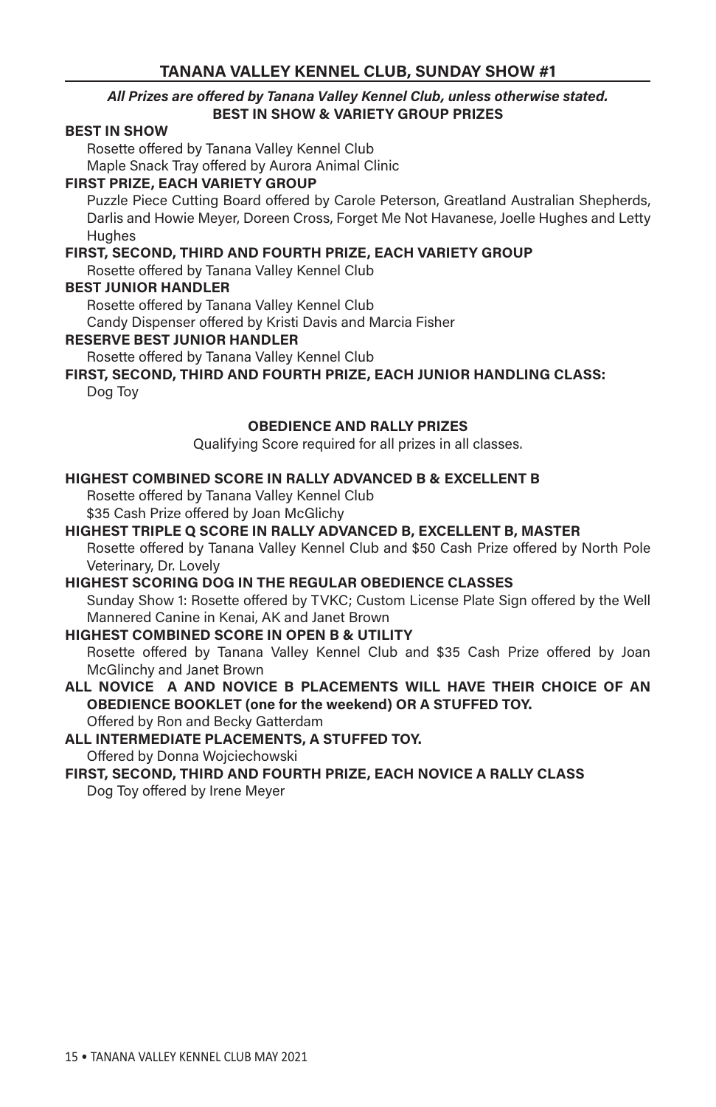### *All Prizes are offered by Tanana Valley Kennel Club, unless otherwise stated.* **BEST IN SHOW & VARIETY GROUP PRIZES**

### **BEST IN SHOW**

Rosette offered by Tanana Valley Kennel Club Maple Snack Tray offered by Aurora Animal Clinic

### **FIRST PRIZE, EACH VARIETY GROUP**

Puzzle Piece Cutting Board offered by Carole Peterson, Greatland Australian Shepherds, Darlis and Howie Meyer, Doreen Cross, Forget Me Not Havanese, Joelle Hughes and Letty **Hughes** 

## **FIRST, SECOND, THIRD AND FOURTH PRIZE, EACH VARIETY GROUP**

Rosette offered by Tanana Valley Kennel Club

### **BEST JUNIOR HANDLER**

Rosette offered by Tanana Valley Kennel Club

Candy Dispenser offered by Kristi Davis and Marcia Fisher

### **RESERVE BEST JUNIOR HANDLER**

Rosette offered by Tanana Valley Kennel Club

# **FIRST, SECOND, THIRD AND FOURTH PRIZE, EACH JUNIOR HANDLING CLASS:**

Dog Toy

### **OBEDIENCE AND RALLY PRIZES**

Qualifying Score required for all prizes in all classes.

# **HIGHEST COMBINED SCORE IN RALLY ADVANCED B & EXCELLENT B**

Rosette offered by Tanana Valley Kennel Club \$35 Cash Prize offered by Joan McGlichy

# **HIGHEST TRIPLE Q SCORE IN RALLY ADVANCED B, EXCELLENT B, MASTER**

Rosette offered by Tanana Valley Kennel Club and \$50 Cash Prize offered by North Pole Veterinary, Dr. Lovely

# **HIGHEST SCORING DOG IN THE REGULAR OBEDIENCE CLASSES**

Sunday Show 1: Rosette offered by TVKC; Custom License Plate Sign offered by the Well Mannered Canine in Kenai, AK and Janet Brown

### **HIGHEST COMBINED SCORE IN OPEN B & UTILITY**

Rosette offered by Tanana Valley Kennel Club and \$35 Cash Prize offered by Joan McGlinchy and Janet Brown

# **ALL NOVICE A AND NOVICE B PLACEMENTS WILL HAVE THEIR CHOICE OF AN OBEDIENCE BOOKLET (one for the weekend) OR A STUFFED TOY.**

Offered by Ron and Becky Gatterdam

#### **ALL INTERMEDIATE PLACEMENTS, A STUFFED TOY.** Offered by Donna Wojciechowski

### **FIRST, SECOND, THIRD AND FOURTH PRIZE, EACH NOVICE A RALLY CLASS** Dog Toy offered by Irene Meyer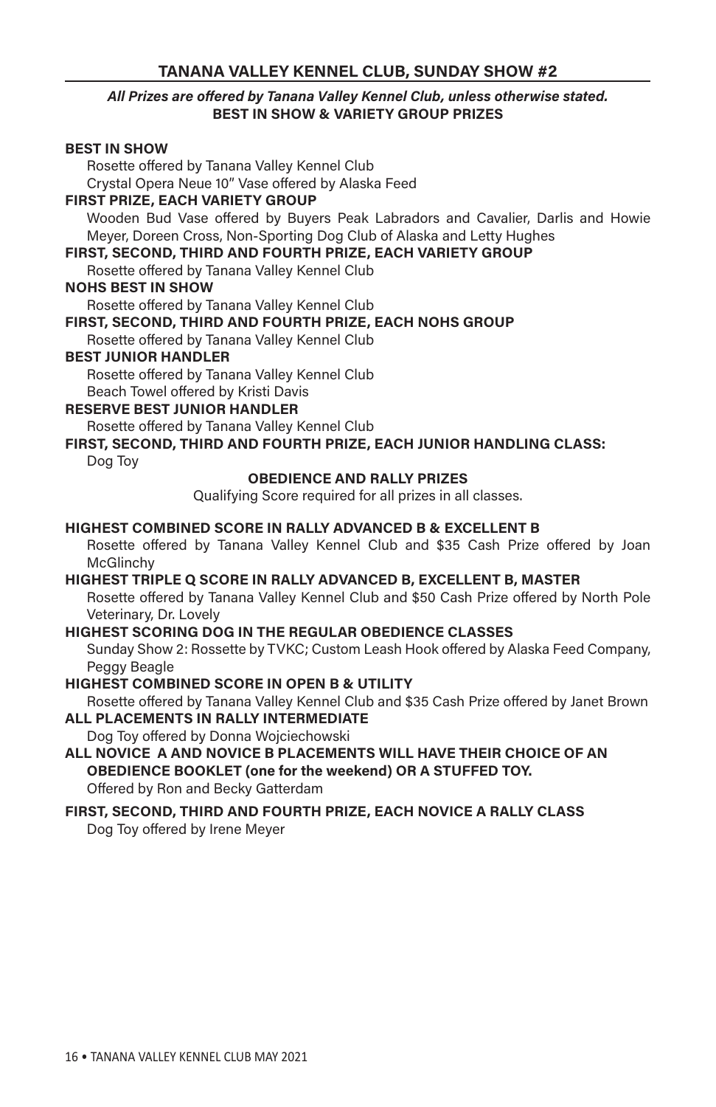# **TANANA VALLEY KENNEL CLUB, SUNDAY SHOW #2**

### *All Prizes are offered by Tanana Valley Kennel Club, unless otherwise stated.* **BEST IN SHOW & VARIETY GROUP PRIZES**

#### **BEST IN SHOW**

Rosette offered by Tanana Valley Kennel Club Crystal Opera Neue 10" Vase offered by Alaska Feed

#### **FIRST PRIZE, EACH VARIETY GROUP**

Wooden Bud Vase offered by Buyers Peak Labradors and Cavalier, Darlis and Howie Meyer, Doreen Cross, Non-Sporting Dog Club of Alaska and Letty Hughes

#### **FIRST, SECOND, THIRD AND FOURTH PRIZE, EACH VARIETY GROUP**

Rosette offered by Tanana Valley Kennel Club

### **NOHS BEST IN SHOW**

Rosette offered by Tanana Valley Kennel Club

### **FIRST, SECOND, THIRD AND FOURTH PRIZE, EACH NOHS GROUP**

Rosette offered by Tanana Valley Kennel Club

### **BEST JUNIOR HANDLER**

Rosette offered by Tanana Valley Kennel Club

# Beach Towel offered by Kristi Davis

# **RESERVE BEST JUNIOR HANDLER**

Rosette offered by Tanana Valley Kennel Club

**FIRST, SECOND, THIRD AND FOURTH PRIZE, EACH JUNIOR HANDLING CLASS:**  Dog Toy

### **OBEDIENCE AND RALLY PRIZES**

Qualifying Score required for all prizes in all classes.

#### **HIGHEST COMBINED SCORE IN RALLY ADVANCED B & EXCELLENT B**

Rosette offered by Tanana Valley Kennel Club and \$35 Cash Prize offered by Joan **McGlinchy** 

### **HIGHEST TRIPLE Q SCORE IN RALLY ADVANCED B, EXCELLENT B, MASTER**

Rosette offered by Tanana Valley Kennel Club and \$50 Cash Prize offered by North Pole Veterinary, Dr. Lovely

#### **HIGHEST SCORING DOG IN THE REGULAR OBEDIENCE CLASSES**

Sunday Show 2: Rossette by TVKC; Custom Leash Hook offered by Alaska Feed Company, Peggy Beagle

### **HIGHEST COMBINED SCORE IN OPEN B & UTILITY**

Rosette offered by Tanana Valley Kennel Club and \$35 Cash Prize offered by Janet Brown **ALL PLACEMENTS IN RALLY INTERMEDIATE**

#### Dog Toy offered by Donna Wojciechowski

### **ALL NOVICE A AND NOVICE B PLACEMENTS WILL HAVE THEIR CHOICE OF AN OBEDIENCE BOOKLET (one for the weekend) OR A STUFFED TOY.** Offered by Ron and Becky Gatterdam

#### **FIRST, SECOND, THIRD AND FOURTH PRIZE, EACH NOVICE A RALLY CLASS** Dog Toy offered by Irene Meyer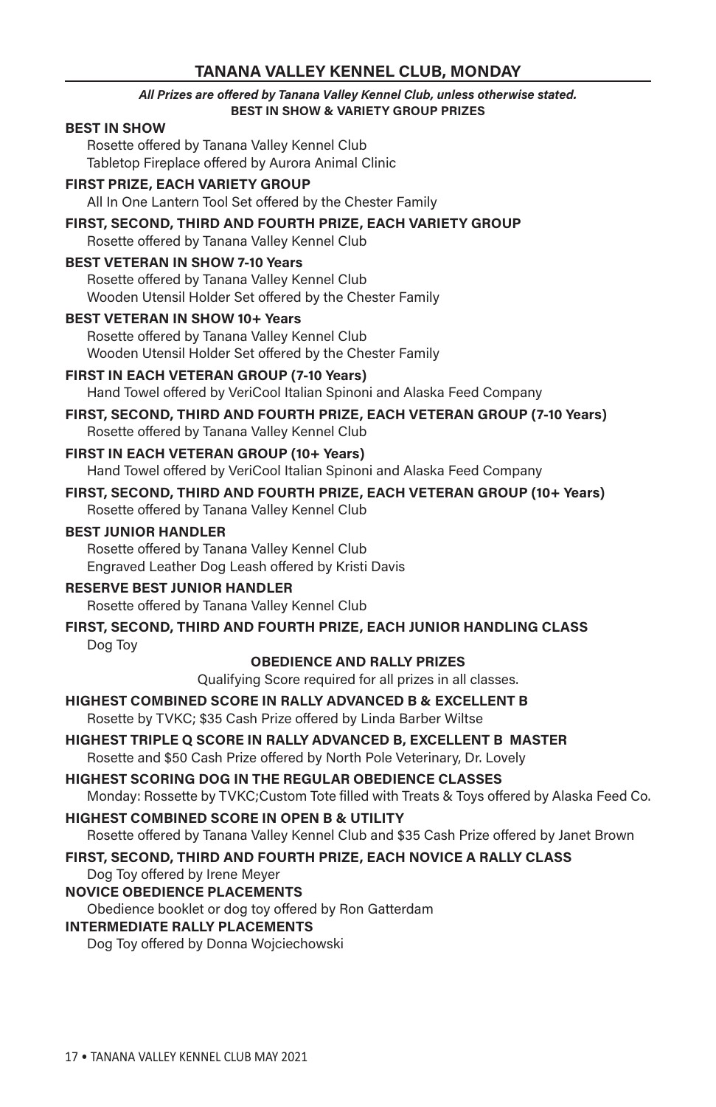# **TANANA VALLEY KENNEL CLUB, MONDAY** *All Prizes are offered by Tanana Valley Kennel Club, unless otherwise stated.* **BEST IN SHOW & VARIETY GROUP PRIZES BEST IN SHOW** Rosette offered by Tanana Valley Kennel Club Tabletop Fireplace offered by Aurora Animal Clinic **FIRST PRIZE, EACH VARIETY GROUP** All In One Lantern Tool Set offered by the Chester Family **FIRST, SECOND, THIRD AND FOURTH PRIZE, EACH VARIETY GROUP** Rosette offered by Tanana Valley Kennel Club **BEST VETERAN IN SHOW 7-10 Years** Rosette offered by Tanana Valley Kennel Club Wooden Utensil Holder Set offered by the Chester Family **BEST VETERAN IN SHOW 10+ Years** Rosette offered by Tanana Valley Kennel Club Wooden Utensil Holder Set offered by the Chester Family **FIRST IN EACH VETERAN GROUP (7-10 Years)** Hand Towel offered by VeriCool Italian Spinoni and Alaska Feed Company **FIRST, SECOND, THIRD AND FOURTH PRIZE, EACH VETERAN GROUP (7-10 Years)** Rosette offered by Tanana Valley Kennel Club **FIRST IN EACH VETERAN GROUP (10+ Years)** Hand Towel offered by VeriCool Italian Spinoni and Alaska Feed Company **FIRST, SECOND, THIRD AND FOURTH PRIZE, EACH VETERAN GROUP (10+ Years)** Rosette offered by Tanana Valley Kennel Club **BEST JUNIOR HANDLER** Rosette offered by Tanana Valley Kennel Club Engraved Leather Dog Leash offered by Kristi Davis **RESERVE BEST JUNIOR HANDLER** Rosette offered by Tanana Valley Kennel Club **FIRST, SECOND, THIRD AND FOURTH PRIZE, EACH JUNIOR HANDLING CLASS** Dog Toy **OBEDIENCE AND RALLY PRIZES** Qualifying Score required for all prizes in all classes. **HIGHEST COMBINED SCORE IN RALLY ADVANCED B & EXCELLENT B**

Rosette by TVKC; \$35 Cash Prize offered by Linda Barber Wiltse

**HIGHEST TRIPLE Q SCORE IN RALLY ADVANCED B, EXCELLENT B MASTER** Rosette and \$50 Cash Prize offered by North Pole Veterinary, Dr. Lovely

# **HIGHEST SCORING DOG IN THE REGULAR OBEDIENCE CLASSES** Monday: Rossette by TVKC;Custom Tote filled with Treats & Toys offered by Alaska Feed Co.

#### **HIGHEST COMBINED SCORE IN OPEN B & UTILITY**

Rosette offered by Tanana Valley Kennel Club and \$35 Cash Prize offered by Janet Brown

#### **FIRST, SECOND, THIRD AND FOURTH PRIZE, EACH NOVICE A RALLY CLASS** Dog Toy offered by Irene Meyer

# **NOVICE OBEDIENCE PLACEMENTS** Obedience booklet or dog toy offered by Ron Gatterdam

# **INTERMEDIATE RALLY PLACEMENTS**

Dog Toy offered by Donna Wojciechowski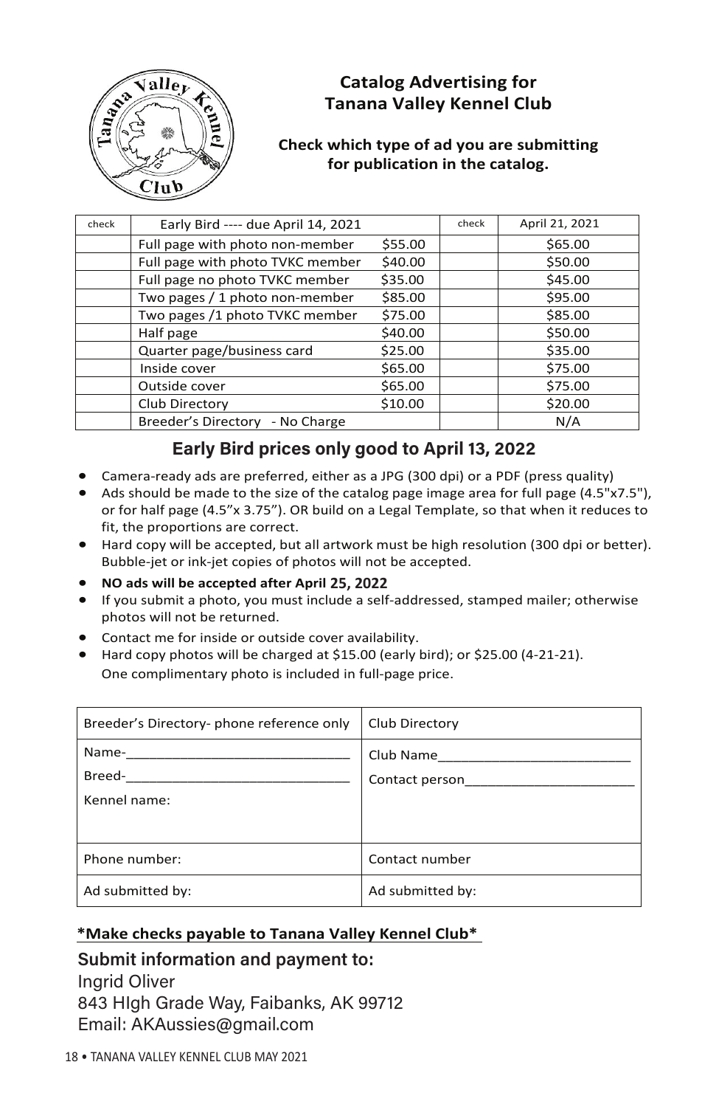

# **Catalog Advertising for Tanana Valley Kennel Club**

# **Check which type of ad you are submitting for publication in the catalog.**

| check | Early Bird ---- due April 14, 2021        |         | check | April 21, 2021 |
|-------|-------------------------------------------|---------|-------|----------------|
|       | Full page with photo non-member           | \$55.00 |       | \$65.00        |
|       | Full page with photo TVKC member          | \$40.00 |       | \$50.00        |
|       | Full page no photo TVKC member            | \$35.00 |       | \$45.00        |
|       | Two pages / 1 photo non-member            | \$85.00 |       | \$95.00        |
|       | Two pages /1 photo TVKC member            | \$75.00 |       | \$85.00        |
|       | Half page                                 | \$40.00 |       | \$50.00        |
|       | Quarter page/business card                | \$25.00 |       | \$35.00        |
|       | Inside cover                              | \$65.00 |       | \$75.00        |
|       | Outside cover                             | \$65.00 |       | \$75.00        |
|       | Club Directory                            | \$10.00 |       | \$20.00        |
|       | <b>Breeder's Directory</b><br>- No Charge |         |       | N/A            |

# **Early Bird prices only good to April 14, 2021 Early Bird prices only good to April 13, 2022**

- Camera-ready ads are preferred, either as a JPG (300 dpi) or a PDF (press quality)
- $\bullet$  Ads should be made to the size of the catalog page image area for full page (4.5"x7.5"), or for half page (4.5"x 3.75"). OR build on a Legal Template, so that when it reduces to fit, the proportions are correct.
- Hard copy will be accepted, but all artwork must be high resolution (300 dpi or better). Bubble-jet or ink-jet copies of photos will not be accepted.
- **•** NO ads will be accepted after April 25, 2022.
- If you submit a photo, you must include a self-addressed, stamped mailer; otherwise photos will not be returned.
- Contact me for inside or outside cover availability.
- $\bullet$  Hard copy photos will be charged at \$15.00 (early bird); or \$25.00 (4-21-21). One complimentary photo is included in full-page price.

| Breeder's Directory-phone reference only | Club Directory   |
|------------------------------------------|------------------|
| Kennel name:                             |                  |
| Phone number:                            | Contact number   |
| Ad submitted by:                         | Ad submitted by: |

# **\*Make checks payable to Tanana Valley Kennel Club\***

# **Submit information and payment to:**<br>Iparid Oliver

nighu Onver<br>0.42 Uleb Oresle Wey 843 HIgh Grade Way, Faibanks, AK 99712 Email: AKAussies@gmail.com Ingrid Oliver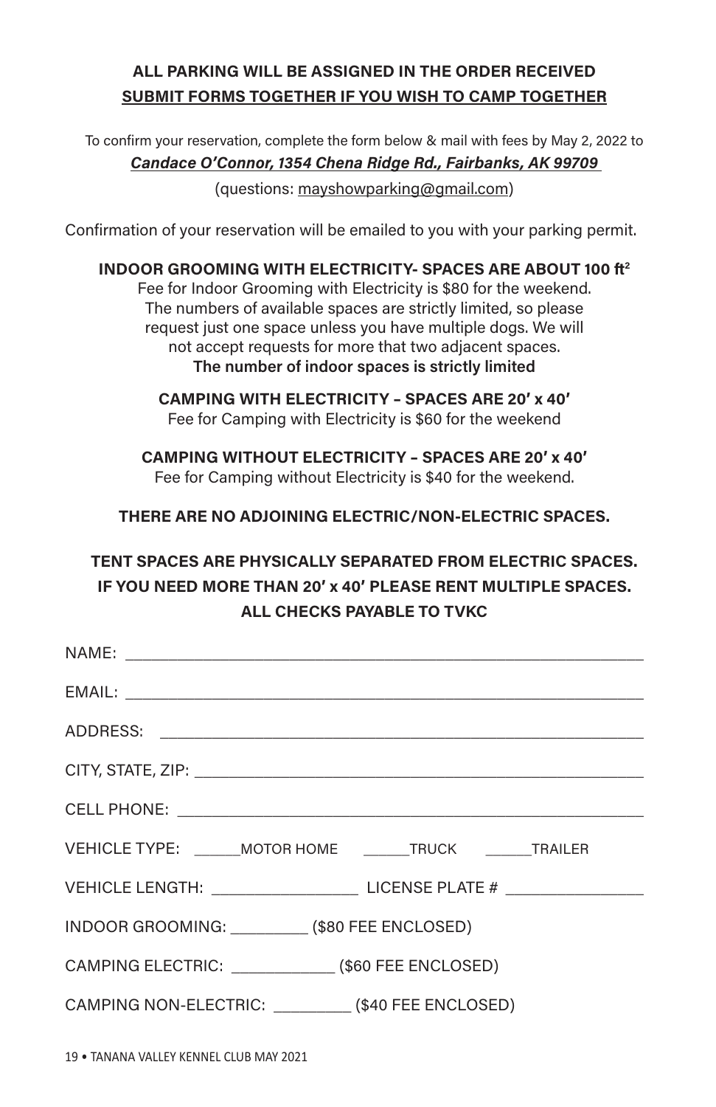# **ALL PARKING WILL BE ASSIGNED IN THE ORDER RECEIVED SUBMIT FORMS TOGETHER IF YOU WISH TO CAMP TOGETHER**

To confirm your reservation, complete the form below & mail with fees by May 2, 2022 to

*Candace O'Connor, 1354 Chena Ridge Rd., Fairbanks, AK 99709* 

(questions: mayshowparking@gmail.com)

Confirmation of your reservation will be emailed to you with your parking permit.

# **INDOOR GROOMING WITH ELECTRICITY- SPACES ARE ABOUT 100 ft2**

Fee for Indoor Grooming with Electricity is \$80 for the weekend. The numbers of available spaces are strictly limited, so please request just one space unless you have multiple dogs. We will not accept requests for more that two adjacent spaces. **The number of indoor spaces is strictly limited**

**CAMPING WITH ELECTRICITY – SPACES ARE 20' x 40'** Fee for Camping with Electricity is \$60 for the weekend

**CAMPING WITHOUT ELECTRICITY – SPACES ARE 20' x 40'** Fee for Camping without Electricity is \$40 for the weekend.

# **THERE ARE NO ADJOINING ELECTRIC/NON-ELECTRIC SPACES.**

# **TENT SPACES ARE PHYSICALLY SEPARATED FROM ELECTRIC SPACES. IF YOU NEED MORE THAN 20' x 40' PLEASE RENT MULTIPLE SPACES. ALL CHECKS PAYABLE TO TVKC**

| VEHICLE TYPE: ______ MOTOR HOME _______ TRUCK _______ TRAILER |  |  |
|---------------------------------------------------------------|--|--|
|                                                               |  |  |
| INDOOR GROOMING: _________ (\$80 FEE ENCLOSED)                |  |  |
| CAMPING ELECTRIC: (\$60 FEE ENCLOSED)                         |  |  |
| CAMPING NON-ELECTRIC: _________ (\$40 FEE ENCLOSED)           |  |  |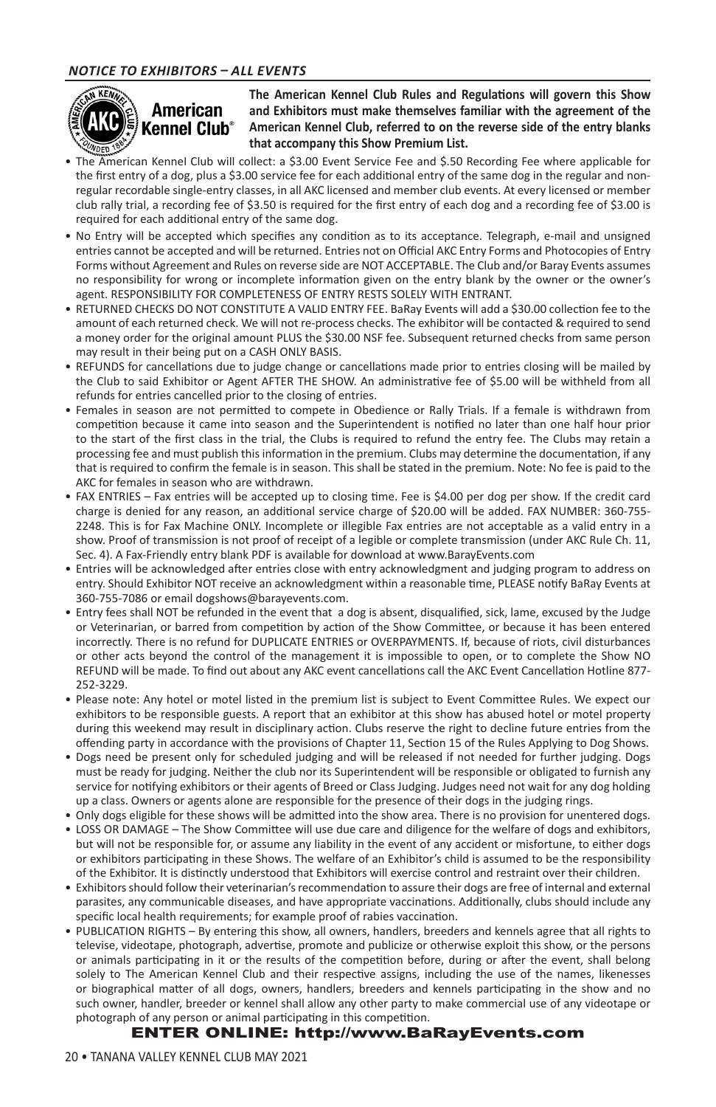

**The American Kennel Club Rules and Regulations will govern this Show and Exhibitors must make themselves familiar with the agreement of the American Kennel Club, referred to on the reverse side of the entry blanks that accompany this Show Premium List.**

- The American Kennel Club will collect: a \$3.00 Event Service Fee and \$.50 Recording Fee where applicable for the first entry of a dog, plus a \$3.00 service fee for each additional entry of the same dog in the regular and nonregular recordable single-entry classes, in all AKC licensed and member club events. At every licensed or member club rally trial, a recording fee of \$3.50 is required for the first entry of each dog and a recording fee of \$3.00 is required for each additional entry of the same dog.
- No Entry will be accepted which specifies any condition as to its acceptance. Telegraph, e-mail and unsigned entries cannot be accepted and will be returned. Entries not on Official AKC Entry Forms and Photocopies of Entry Forms without Agreement and Rules on reverse side are NOT ACCEPTABLE. The Club and/or Baray Events assumes no responsibility for wrong or incomplete information given on the entry blank by the owner or the owner's agent. RESPONSIBILITY FOR COMPLETENESS OF ENTRY RESTS SOLELY WITH ENTRANT.
- RETURNED CHECKS DO NOT CONSTITUTE A VALID ENTRY FEE. BaRay Events will add a \$30.00 collection fee to the amount of each returned check. We will not re-process checks. The exhibitor will be contacted & required to send a money order for the original amount PLUS the \$30.00 NSF fee. Subsequent returned checks from same person may result in their being put on a CASH ONLY BASIS.
- REFUNDS for cancellations due to judge change or cancellations made prior to entries closing will be mailed by the Club to said Exhibitor or Agent AFTER THE SHOW. An administrative fee of \$5.00 will be withheld from all refunds for entries cancelled prior to the closing of entries.
- Females in season are not permitted to compete in Obedience or Rally Trials. If a female is withdrawn from competition because it came into season and the Superintendent is notified no later than one half hour prior to the start of the first class in the trial, the Clubs is required to refund the entry fee. The Clubs may retain a processing fee and must publish this information in the premium. Clubs may determine the documentation, if any that is required to confirm the female is in season. This shall be stated in the premium. Note: No fee is paid to the AKC for females in season who are withdrawn.
- FAX ENTRIES Fax entries will be accepted up to closing time. Fee is \$4.00 per dog per show. If the credit card charge is denied for any reason, an additional service charge of \$20.00 will be added. FAX NUMBER: 360-755- 2248. This is for Fax Machine ONLY. Incomplete or illegible Fax entries are not acceptable as a valid entry in a show. Proof of transmission is not proof of receipt of a legible or complete transmission (under AKC Rule Ch. 11, Sec. 4). A Fax-Friendly entry blank PDF is available for download at www.BarayEvents.com
- Entries will be acknowledged after entries close with entry acknowledgment and judging program to address on entry. Should Exhibitor NOT receive an acknowledgment within a reasonable time, PLEASE notify BaRay Events at 360-755-7086 or email dogshows@barayevents.com.
- Entry fees shall NOT be refunded in the event that a dog is absent, disqualified, sick, lame, excused by the Judge or Veterinarian, or barred from competition by action of the Show Committee, or because it has been entered incorrectly. There is no refund for DUPLICATE ENTRIES or OVERPAYMENTS. If, because of riots, civil disturbances or other acts beyond the control of the management it is impossible to open, or to complete the Show NO REFUND will be made. To find out about any AKC event cancellations call the AKC Event Cancellation Hotline 877- 252-3229.
- Please note: Any hotel or motel listed in the premium list is subject to Event Committee Rules. We expect our exhibitors to be responsible guests. A report that an exhibitor at this show has abused hotel or motel property during this weekend may result in disciplinary action. Clubs reserve the right to decline future entries from the offending party in accordance with the provisions of Chapter 11, Section 15 of the Rules Applying to Dog Shows.
- Dogs need be present only for scheduled judging and will be released if not needed for further judging. Dogs must be ready for judging. Neither the club nor its Superintendent will be responsible or obligated to furnish any service for notifying exhibitors or their agents of Breed or Class Judging. Judges need not wait for any dog holding up a class. Owners or agents alone are responsible for the presence of their dogs in the judging rings.
- Only dogs eligible for these shows will be admitted into the show area. There is no provision for unentered dogs.
- LOSS OR DAMAGE The Show Committee will use due care and diligence for the welfare of dogs and exhibitors, but will not be responsible for, or assume any liability in the event of any accident or misfortune, to either dogs or exhibitors participating in these Shows. The welfare of an Exhibitor's child is assumed to be the responsibility of the Exhibitor. It is distinctly understood that Exhibitors will exercise control and restraint over their children.
- Exhibitors should follow their veterinarian's recommendation to assure their dogs are free of internal and external parasites, any communicable diseases, and have appropriate vaccinations. Additionally, clubs should include any specific local health requirements; for example proof of rabies vaccination.
- PUBLICATION RIGHTS By entering this show, all owners, handlers, breeders and kennels agree that all rights to televise, videotape, photograph, advertise, promote and publicize or otherwise exploit this show, or the persons or animals participating in it or the results of the competition before, during or after the event, shall belong solely to The American Kennel Club and their respective assigns, including the use of the names, likenesses or biographical matter of all dogs, owners, handlers, breeders and kennels participating in the show and no such owner, handler, breeder or kennel shall allow any other party to make commercial use of any videotape or photograph of any person or animal participating in this competition.

#### ENTER ONLINE: http://www.BaRayEvents.com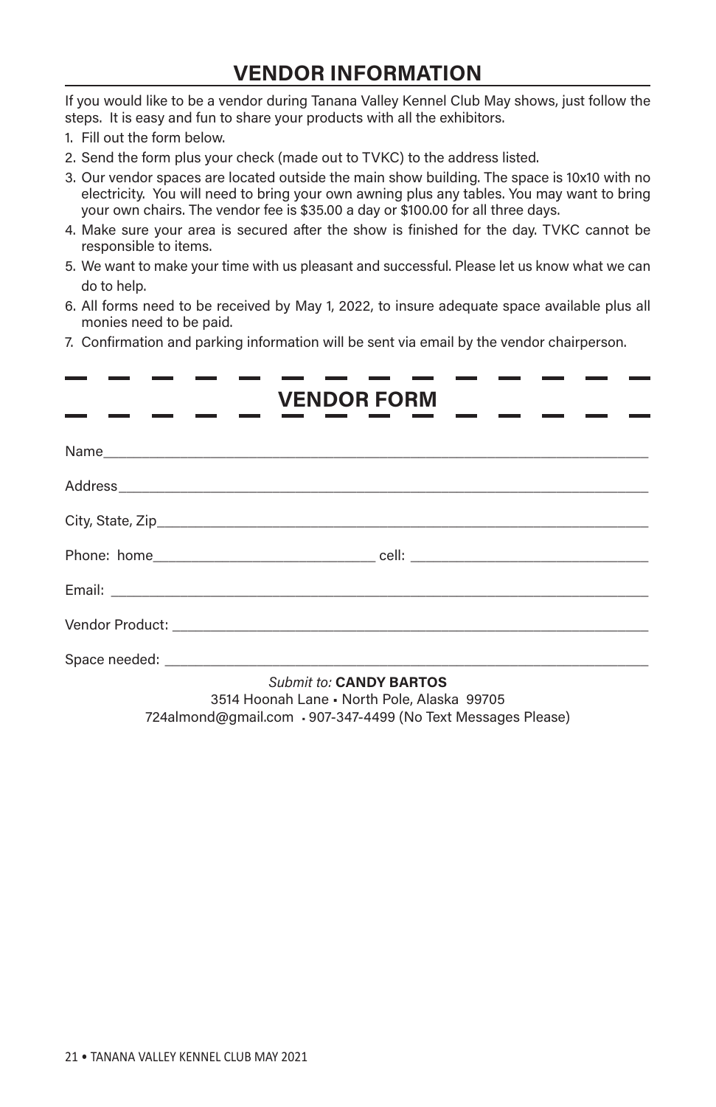# **VENDOR INFORMATION**

If you would like to be a vendor during Tanana Valley Kennel Club May shows, just follow the steps. It is easy and fun to share your products with all the exhibitors.

- 1. Fill out the form below.
- 2. Send the form plus your check (made out to TVKC) to the address listed.
- 3. Our vendor spaces are located outside the main show building. The space is 10x10 with no electricity. You will need to bring your own awning plus any tables. You may want to bring your own chairs. The vendor fee is \$35.00 a day or \$100.00 for all three days.
- 4. Make sure your area is secured after the show is finished for the day. TVKC cannot be responsible to items.
- 5. We want to make your time with us pleasant and successful. Please let us know what we can do to help.
- 6. All forms need to be received by May 1, 2022, to insure adequate space available plus all monies need to be paid.
- 7. Confirmation and parking information will be sent via email by the vendor chairperson.

| <b>VENDOR FORM</b><br>_____ |  |  |
|-----------------------------|--|--|
|                             |  |  |
|                             |  |  |
|                             |  |  |
|                             |  |  |
|                             |  |  |
|                             |  |  |
|                             |  |  |
| Submit to: CANDY BARTOS     |  |  |

3514 Hoonah Lane • North Pole, Alaska 99705 724almond@gmail.com • 907-347-4499 (No Text Messages Please)